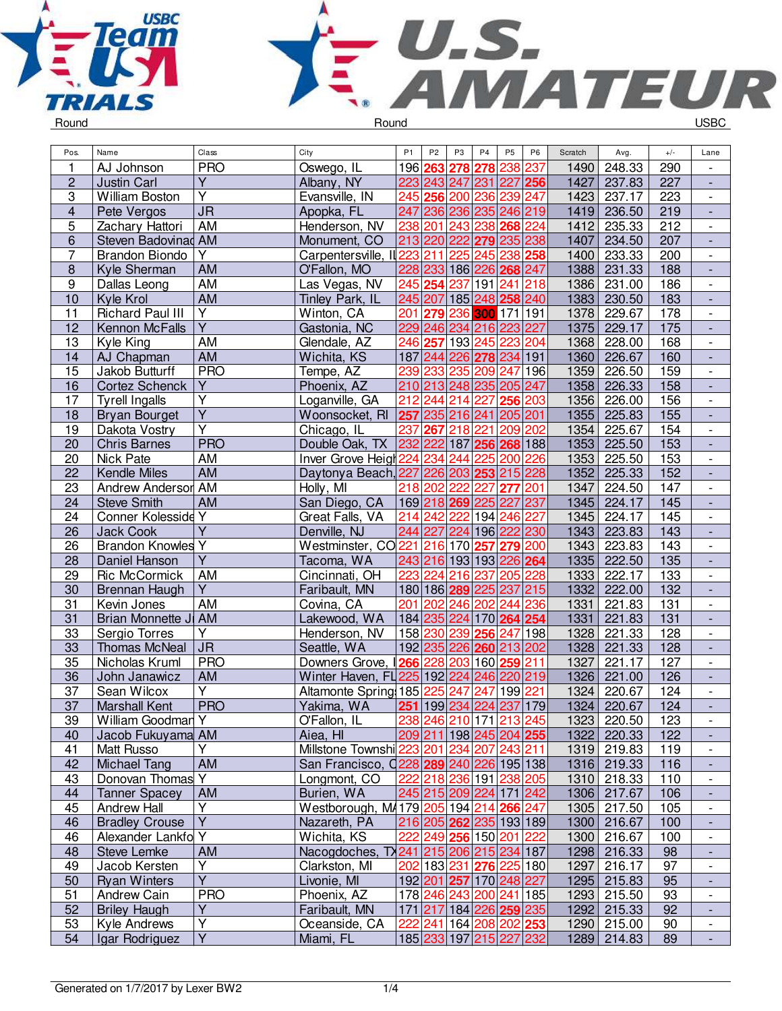



| Pos.             | Name                      | Class                             | City                                      | P <sub>1</sub> | P <sub>2</sub> | P <sub>3</sub>          | P <sub>4</sub> | P <sub>5</sub> | P <sub>6</sub>          | Scratch | Avg.        | $+/-$ | Lane                                                 |
|------------------|---------------------------|-----------------------------------|-------------------------------------------|----------------|----------------|-------------------------|----------------|----------------|-------------------------|---------|-------------|-------|------------------------------------------------------|
| 1                | AJ Johnson                | <b>PRO</b>                        | Oswego, IL                                |                | 196 263        |                         | 278 278        | 238 237        |                         | 1490    | 248.33      | 290   |                                                      |
| $\overline{c}$   | <b>Justin Carl</b>        | $\overline{Y}$                    | Albany, NY                                |                |                | 223 243 247 231 227 256 |                |                |                         | 1427    | 237.83      | 227   | $\overline{\phantom{a}}$                             |
| 3                | William Boston            | $\overline{Y}$                    | Evansville, IN                            |                |                | 245 256 200 236         |                | 239 247        |                         | 1423    | 237.17      | 223   | $\overline{\phantom{a}}$                             |
| 4                | Pete Vergos               | $\overline{\mathsf{J}\mathsf{R}}$ | Apopka, FL                                |                |                | 247 236 236 235 246 219 |                |                |                         | 1419    | 236.50      | 219   | $\overline{\phantom{a}}$                             |
| 5                | Zachary Hattori           | AM                                | Henderson, NV                             |                |                | 238 201 243 238         |                | 268 224        |                         | 1412    | 235.33      | 212   | $\qquad \qquad \blacksquare$                         |
| 6                | Steven Badovinad AM       |                                   | Monument, CO                              |                |                | 213 220 222 279         |                | 235 238        |                         | 1407    | 234.50      | 207   | $\overline{\phantom{a}}$                             |
| 7                | <b>Brandon Biondo</b>     | Y                                 | Carpentersville, II 223 211 225           |                |                |                         | 245            | 238 258        |                         | 1400    | 233.33      | 200   | $\overline{\phantom{a}}$                             |
| $\bf 8$          | Kyle Sherman              | AM                                | O'Fallon, MO                              |                |                | 228 233 186 226 268 247 |                |                |                         | 1388    | 231.33      | 188   |                                                      |
| $\boldsymbol{9}$ | Dallas Leong              | AM                                | Las Vegas, NV                             |                |                | 245 254 237 191 241     |                |                | 218                     | 1386    | 231.00      | 186   | $\overline{\phantom{a}}$                             |
| 10               | Kyle Krol                 | AM                                | Tinley Park, IL                           |                |                | 245 207 185 248 258 240 |                |                |                         | 1383    | 230.50      | 183   |                                                      |
| 11               | <b>Richard Paul III</b>   | $\overline{Y}$                    | Winton, CA                                |                |                | 201 279 236 300 171 191 |                |                |                         | 1378    | 229.67      | 178   | $\overline{\phantom{a}}$                             |
| 12               | Kennon McFalls            | $\overline{Y}$                    | Gastonia, NC                              |                |                | 229 246 234 216 223 227 |                |                |                         | 1375    | 229.17      | 175   | $\Box$                                               |
| 13               | Kyle King                 | AM                                | Glendale, AZ                              |                |                | 246 257 193 245         |                | 223            | 204                     | 1368    | 228.00      | 168   | $\blacksquare$                                       |
| 14               | AJ Chapman                | AM                                | Wichita, KS                               |                |                | 187 244 226 278 234 191 |                |                |                         | 1360    | 226.67      | 160   | $\overline{\phantom{a}}$                             |
| 15               | Jakob Butturff            | <b>PRO</b>                        | Tempe, AZ                                 |                |                | 239 233 235 209         |                | 247 196        |                         | 1359    | 226.50      | 159   | $\overline{\phantom{a}}$                             |
| 16               | Cortez Schenck            | Y                                 | Phoenix, AZ                               |                |                | 210 213 248 235 205 247 |                |                |                         | 1358    | 226.33      | 158   |                                                      |
| 17               | <b>Tyrell Ingalls</b>     | $\overline{Y}$                    | Loganville, GA                            | 212            |                | 244 214 227             |                | 256            | 203                     | 1356    | 226.00      | 156   | $\overline{\phantom{a}}$                             |
| 18               | <b>Bryan Bourget</b>      | $\overline{Y}$                    | Woonsocket, RI                            |                |                | 257 235 216 241 205 201 |                |                |                         | 1355    | 225.83      | 155   | $\overline{\phantom{a}}$                             |
| 19               | Dakota Vostry             | $\overline{Y}$                    | Chicago, IL                               | 237            |                | 267 218 221             |                | 209 202        |                         | 1354    | 225.67      | 154   | $\overline{\phantom{a}}$                             |
| 20               | <b>Chris Barnes</b>       | <b>PRO</b>                        | Double Oak, TX                            |                |                | 232 222 187 256 268 188 |                |                |                         | 1353    | 225.50      | 153   |                                                      |
| 20               | Nick Pate                 | AM                                | Inver Grove Heigh 224 234 244 225 200 226 |                |                |                         |                |                |                         | 1353    | 225.50      | 153   | $\overline{\phantom{a}}$                             |
| 22               | Kendle Miles              | AM                                | Daytonya Beach, 227 226 203 253 215 228   |                |                |                         |                |                |                         | 1352    | 225.33      | 152   | $\overline{\phantom{a}}$                             |
| 23               | <b>Andrew Anderson AM</b> |                                   | Holly, MI                                 |                | 218 202 222    |                         | 227            | 277            | $^{\prime}$ 201         | 1347    | 224.50      | 147   | $\overline{\phantom{a}}$                             |
| 24               | <b>Steve Smith</b>        | AM                                | San Diego, CA                             |                |                | 169 218 269 225         |                | 227 237        |                         | 1345    | 224.17      | 145   | $\overline{\phantom{a}}$                             |
| 24               | Conner Kolesside Y        |                                   | Great Falls, VA                           |                |                | 214 242 222 194         |                | 246 227        |                         | 1345    | 224.17      | 145   |                                                      |
| 26               | <b>Jack Cook</b>          | Ÿ                                 | Denville, NJ                              |                |                | 244 227 224 196 222 230 |                |                |                         | 1343    | 223.83      | 143   |                                                      |
| 26               | <b>Brandon Knowles Y</b>  |                                   | Westminster, CO221                        |                |                | 216 170 257             |                | 279 200        |                         | 1343    | 223.83      | 143   | $\overline{\phantom{a}}$                             |
| 28               | Daniel Hanson             | $\overline{Y}$                    | Tacoma, WA                                |                |                | 243 216 193 193 226 264 |                |                |                         | 1335    | 222.50      | 135   | $\overline{\phantom{a}}$                             |
| 29               | Ric McCormick             | <b>AM</b>                         | Cincinnati, OH                            |                |                | 223 224 216 237 205 228 |                |                |                         | 1333    | 222.17      | 133   | $\overline{\phantom{a}}$                             |
| 30               | Brennan Haugh             | Y                                 | Faribault, MN                             |                |                | 180 186 289 225 237 215 |                |                |                         | 1332    | 222.00      | 132   | $\blacksquare$                                       |
| 31               | Kevin Jones               | AM                                | Covina, CA                                |                |                | 201 202 246 202 244 236 |                |                |                         | 1331    | 221.83      | 131   | $\Box$                                               |
| 31               | Brian Monnette JI AM      |                                   | Lakewood, WA                              |                |                | 184 235 224 170 264 254 |                |                |                         | 1331    | 221.83      | 131   | $\Box$                                               |
| 33               | Sergio Torres             | Y                                 | Henderson, NV                             |                |                | 158 230 239 256         |                | 247 198        |                         | 1328    | 221.33      | 128   | $\overline{\phantom{a}}$                             |
| 33               | <b>Thomas McNeal</b>      | <b>JR</b>                         | Seattle, WA                               |                |                | 192 235 226 260 213 202 |                |                |                         | 1328    | 221.33      | 128   | $\overline{\phantom{a}}$                             |
| 35               | Nicholas Kruml            | <b>PRO</b>                        | Downers Grove, 266 228 203 160 259 211    |                |                |                         |                |                |                         | 1327    | 221.17      | 127   | $\overline{\phantom{a}}$                             |
| 36               | John Janawicz             | AM                                | Winter Haven, FL 225 192 224 246 220 219  |                |                |                         |                |                |                         | 1326    | 221.00      | 126   | $\overline{\phantom{a}}$                             |
| 37               | Sean Wilcox               | $\overline{Y}$                    | Altamonte Spring 185 225 247              |                |                |                         | 247            | 199 221        |                         | 1324    | 220.67      | 124   | $\blacksquare$                                       |
| $\overline{37}$  | <b>Marshall Kent</b>      | <b>PRO</b>                        | Yakima, WA                                |                |                | 251 199 234 224 237 179 |                |                |                         | 1324    | 220.67      | 124   | $\frac{1}{2}$                                        |
| 39               | William Goodman Y         |                                   | O'Fallon, IL                              |                |                | 238 246 210 171 213 245 |                |                |                         |         | 1323 220.50 | 123   | $\overline{\phantom{a}}$                             |
| 40               | Jacob Fukuyama AM         |                                   | Aiea, HI                                  |                |                | 209 211 198 245 204 255 |                |                |                         |         | 1322 220.33 | 122   |                                                      |
| 41               | <b>Matt Russo</b>         | Y                                 | Millstone Townshi 223 201 234 207 243 211 |                |                |                         |                |                |                         |         | 1319 219.83 | 119   | $\blacksquare$                                       |
| 42               | <b>Michael Tang</b>       | AM                                | San Francisco, 0228 289 240 226 195 138   |                |                |                         |                |                |                         |         | 1316 219.33 | 116   | $\overline{\phantom{a}}$                             |
| 43               | Donovan Thomas Y          |                                   | Longmont, CO                              |                |                | 222 218 236 191 238 205 |                |                |                         |         | 1310 218.33 | 110   | $\overline{\phantom{a}}$                             |
| 44               | <b>Tanner Spacey</b>      | AM                                | Burien, WA                                |                |                | 245 215 209 224 171 242 |                |                |                         |         | 1306 217.67 | 106   | $\overline{\phantom{a}}$                             |
| 45               | Andrew Hall               | Υ                                 | Westborough, M4179 205 194 214 266 247    |                |                |                         |                |                |                         |         | 1305 217.50 | 105   | $\overline{\phantom{a}}$                             |
| 46               | <b>Bradley Crouse</b>     | $\overline{Y}$                    | Nazareth, PA                              |                |                | 216 205 262 235 193 189 |                |                |                         |         | 1300 216.67 | 100   | ٠                                                    |
| 46               | Alexander Lankfo Y        |                                   | Wichita, KS                               | 222            |                | 249 256 150 201         |                |                | 222                     |         | 1300 216.67 | 100   | $\overline{\phantom{a}}$                             |
| 48               | <b>Steve Lemke</b>        | AM                                | Nacogdoches, TX241 215 206 215 234 187    |                |                |                         |                |                |                         |         | 1298 216.33 | 98    | ٠                                                    |
| 49               | Jacob Kersten             | Υ                                 | Clarkston, MI                             |                |                | 202 183 231 276 225 180 |                |                |                         | 1297    | 216.17      | 97    | $\overline{\phantom{a}}$                             |
| 50               | <b>Ryan Winters</b>       | $\overline{Y}$                    | Livonie, MI                               |                |                | 192 201 257 170 248 227 |                |                |                         | 1295    | 215.83      | 95    | $\overline{\phantom{a}}$                             |
| 51               | Andrew Cain               | <b>PRO</b>                        | Phoenix, AZ                               |                |                | 178 246 243 200 241 185 |                |                |                         |         | 1293 215.50 | 93    | $\blacksquare$                                       |
| 52               | <b>Briley Haugh</b>       | $\overline{Y}$                    | Faribault, MN                             |                |                | 171 217 184 226 259 235 |                |                |                         |         | 1292 215.33 | 92    |                                                      |
| 53               | Kyle Andrews              | $\overline{Y}$                    | Oceanside, CA                             | 222            |                | 241 164 208 202 253     |                |                |                         |         | 1290 215.00 | 90    | $\overline{\phantom{a}}$<br>$\overline{\phantom{a}}$ |
| 54               | Igar Rodriguez            | Y                                 | Miami, FL                                 |                |                |                         |                |                | 185 233 197 215 227 232 |         | 1289 214.83 | 89    | $\overline{\phantom{a}}$                             |
|                  |                           |                                   |                                           |                |                |                         |                |                |                         |         |             |       |                                                      |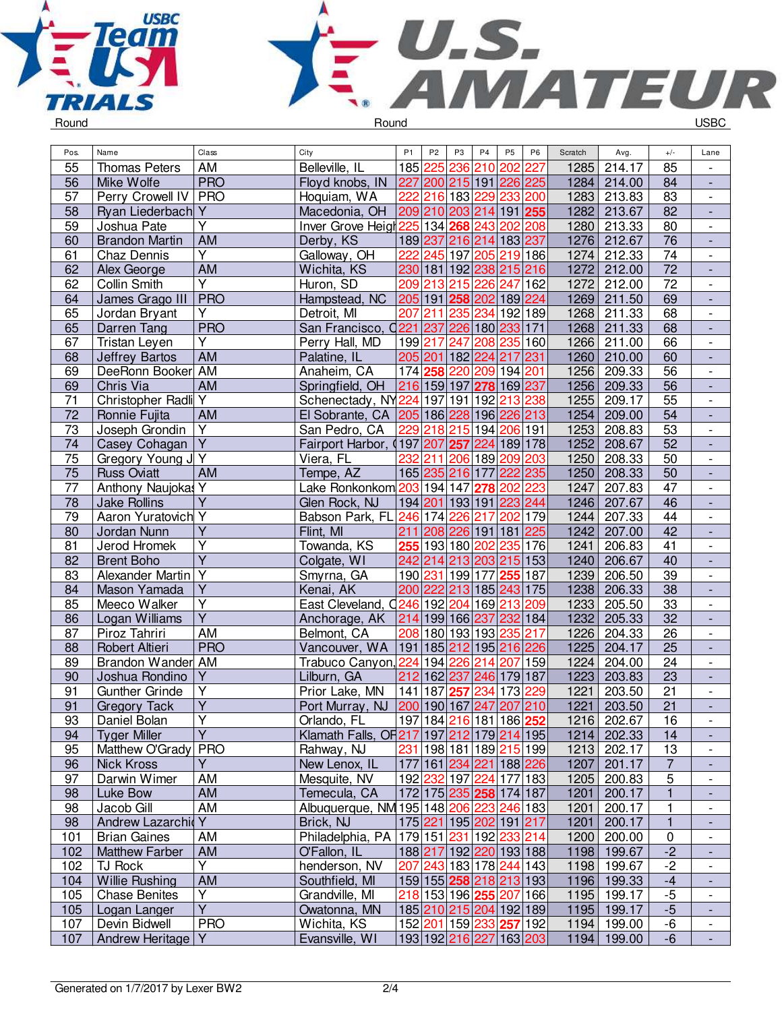



| 236<br>55<br>Belleville, IL<br>185 225<br>210 202<br>214.17<br><b>Thomas Peters</b><br>AM<br>227<br>1285<br>85<br><b>PRO</b><br>56<br>227 200 215 191 226 225<br>1284<br>Floyd knobs, IN<br>84<br>Mike Wolfe<br>214.00<br>$\overline{\phantom{a}}$<br>57<br>83<br><b>PRO</b><br>216 183 229 233 200<br>1283<br>Perry Crowell IV<br>Hoquiam, WA<br>222<br>213.83<br>$\overline{\phantom{a}}$<br>82<br>58<br>Ryan Liederbach Y<br>Macedonia, OH<br>209 210 203 214 191 255<br>1282<br>213.67<br>Y<br>59<br>Inver Grove Heigt 225 134 268 243 202 208<br>80<br>Joshua Pate<br>1280<br>213.33<br>$\overline{\phantom{a}}$<br>AM<br>189 237 216 214 183 237<br>1276<br>76<br><b>Brandon Martin</b><br>Derby, KS<br>212.67<br>60<br>Y<br>245 197 205 219 186<br>$\overline{74}$<br>222<br>1274<br>61<br>Galloway, OH<br>212.33<br>Chaz Dennis<br>$\blacksquare$<br>$\overline{72}$<br>62<br><b>AM</b><br>230 181 192 238 215 216<br>1272<br>212.00<br>Wichita, KS<br>Alex George<br>$\overline{\phantom{a}}$<br>$\overline{\mathsf{Y}}$<br>$\overline{72}$<br>62<br>Collin Smith<br>209 213 215 226 247<br>162<br>1272<br>Huron, SD<br>212.00<br>$\overline{\phantom{a}}$<br>205 191 258 202 189 224<br>69<br><b>PRO</b><br>Hampstead, NC<br>1269<br>211.50<br>64<br>James Grago III<br>$\frac{1}{2}$<br>Υ<br>207<br>211 235 234 192 189<br>1268<br>211.33<br>68<br>65<br>Jordan Bryant<br>Detroit, MI<br>$\qquad \qquad \blacksquare$<br>65<br><b>PRO</b><br>San Francisco, 0221 237 226 180 233 171<br>1268<br>68<br>Darren Tang<br>211.33<br>$\overline{\phantom{a}}$<br>66<br>67<br>Y<br>199 217 247 208 235 160<br>1266<br>Tristan Leyen<br>Perry Hall, MD<br>211.00<br>$\overline{\phantom{a}}$<br>AM<br>60<br>68<br><b>Jeffrey Bartos</b><br>Palatine, IL<br>205 201 182 224 217<br>231<br>1260<br>210.00<br>DeeRonn Booker AM<br>174 258 220 209 194 201<br>56<br>1256<br>69<br>Anaheim, CA<br>209.33<br>$\overline{\phantom{a}}$<br>216 159 197<br>56<br>278 169 237<br>1256<br>69<br>Chris Via<br>AM<br>Springfield, OH<br>209.33<br>$\overline{71}$<br>Christopher Radli Y<br>$\overline{55}$<br>Schenectady, NY224 197 191 192 213 238<br>1255<br>209.17<br>$\blacksquare$<br>$\overline{72}$<br>AM<br>El Sobrante, CA   205   186   228   196   226   213<br>1254<br>209.00<br>54<br>Ronnie Fujita<br>$\blacksquare$<br>$\overline{73}$<br>$\overline{Y}$<br>229 218 215 194 206 191<br>1253<br>208.83<br>53<br>Joseph Grondin<br>San Pedro, CA<br>$\overline{\phantom{a}}$<br>$\overline{Y}$<br>74<br>Fairport Harbor, (197 207 257 224 189 178<br>1252<br>52<br>Casey Cohagan<br>208.67<br>$\overline{\phantom{a}}$<br>232<br>75<br>Gregory Young J Y<br>211 206 189 209 203<br>1250<br>50<br>Viera, FL<br>208.33<br>$\qquad \qquad \blacksquare$<br>$\overline{75}$<br>165 235 216 177 222 235<br>1250<br>50<br><b>Russ Oviatt</b><br><b>AM</b><br>Tempe, AZ<br>208.33<br>$\overline{\phantom{a}}$<br>$\overline{77}$<br>1247<br>47<br>Anthony Naujokas Y<br>Lake Ronkonkom 203 194 147 278 202 223<br>207.83<br>$\overline{\phantom{a}}$<br>$\overline{Y}$<br>78<br>194 201 193 191 223 244<br>207.67<br>46<br><b>Jake Rollins</b><br>Glen Rock, NJ<br>1246<br>$\frac{1}{2}$<br>$\overline{44}$<br>79<br>Aaron Yuratovich Y<br>Babson Park, FL 246 174 226<br>217 202 179<br>1244<br>207.33<br>$\overline{\phantom{a}}$<br>Υ<br>211 208 226 191 181 225<br>42<br>Flint, MI<br>1242<br>207.00<br>Jordan Nunn<br>80<br>$\overline{\mathsf{Y}}$<br>Towanda, KS<br>255 193 180 202 235 176<br>$\overline{41}$<br>81<br>1241<br>Jerod Hromek<br>206.83<br>$\overline{\phantom{a}}$<br>$\overline{\mathsf{Y}}$<br>82<br>242 214 213 203 215 153<br>206.67<br>40<br><b>Brent Boho</b><br>Colgate, WI<br>1240<br>$\blacksquare$<br>Alexander Martin Y<br>190 231 199 177 255 187<br>83<br>206.50<br>39<br>Smyrna, GA<br>1239<br>$\overline{\phantom{a}}$<br>$\overline{Y}$<br>200 222 213 185 243 175<br>1238<br>38<br>84<br>Mason Yamada<br>Kenai, AK<br>206.33<br>$\overline{\phantom{a}}$<br>Υ<br>East Cleveland, Q246 192 204 169 213 209<br>1233<br>33<br>85<br>Meeco Walker<br>205.50<br>$\qquad \qquad \blacksquare$<br>$\overline{\mathsf{Y}}$<br>214 199 166 237<br>232 184<br>1232<br>32<br>86<br>Logan Williams<br>205.33<br>Anchorage, AK<br>$\overline{AM}$<br>$\overline{26}$<br>87<br>208 180 193 193 235 217<br>1226<br>Piroz Tahriri<br>Belmont, CA<br>204.33<br>$\overline{\phantom{a}}$<br><b>PRO</b><br>88<br>Robert Altieri<br>Vancouver, WA   191   185 212<br>195 216 226<br>1225<br>204.17<br>25<br>$\overline{24}$<br>Brandon Wander AM<br>Trabuco Canyon, 224 194 226<br>214 207 159<br>1224<br>89<br>204.00<br>$\overline{\phantom{a}}$<br>212 162 237<br>23<br>90<br>Υ<br>Lilburn, GA<br>246 179 187<br>1223<br>203.83<br>Joshua Rondino<br>$\overline{Y}$<br>234<br>173<br>91<br>141 187 257<br>1221<br>21<br>Prior Lake, MN<br>229<br>203.50<br><b>Gunther Grinde</b><br>$\frac{1}{2}$<br>$\overline{91}$<br>$\overline{Y}$<br>$\overline{21}$<br>1221<br>203.50<br>Port Murray, NJ<br> 200 190 167 247<br>207 210<br><b>Gregory Tack</b><br>Orlando, FL<br>Y<br> 197 184  <mark>216</mark>  181 186  <b>252</b><br>Daniel Bolan<br>202.67<br>93<br>1216<br>16<br>$\overline{\phantom{a}}$<br>$\overline{Y}$<br>Klamath Falls, OF217 197 212 179 214 195<br>94<br><b>Tyger Miller</b><br>202.33<br>14<br>1214<br>$\overline{\phantom{a}}$<br>95<br>Matthew O'Grady<br><b>PRO</b><br>Rahway, NJ<br>231 198 181 189 215 199 <br>1213<br>202.17<br>13<br>$\overline{\phantom{a}}$<br>Υ<br>177 161 234 221 188 226<br>201.17<br>$\overline{7}$<br>96<br><b>Nick Kross</b><br>New Lenox, IL<br>1207<br>5<br>97<br>Darwin Wimer<br>AM<br>Mesquite, NV<br>192 232 197 224 177 183<br>200.83<br>1205<br>AM<br>$\mathbf{1}$<br>Luke Bow<br>Temecula, CA<br>172 175 235 258 174 187<br>200.17<br>98<br>1201<br>AM<br>Albuquerque, NM 195 148 206 223 246 183<br>Jacob Gill<br>200.17<br>98<br>1201<br>1<br>$\overline{\phantom{a}}$<br>Andrew Lazarchid<br>Y<br>Brick, NJ<br>175 221 195 202 191 217<br>200.17<br>98<br>1201<br>1<br>Philadelphia, PA 179 151 231 192 233 214<br>AM<br>200.00<br>101<br><b>Brian Gaines</b><br>1200<br>0<br>$-2$<br>AM<br>188 217 192 220 193 188<br>1198 199.67<br>102<br><b>Matthew Farber</b><br>O'Fallon, IL<br>$\overline{\phantom{a}}$<br>Y<br>$-2$<br>102<br>TJ Rock<br>henderson, NV<br>207 243 183 178 244 143<br>199.67<br>1198<br>$\overline{\phantom{a}}$<br><b>Willie Rushing</b><br>AM<br>159 155 258 218 213 193<br>104<br>Southfield, MI<br>1196 199.33<br>$-4$<br>$\overline{\phantom{a}}$<br>Y<br><b>Chase Benites</b><br>Grandville, MI<br>218 153 196 255 207 166<br>199.17<br>$-5$<br>105<br>1195<br>$\overline{\phantom{a}}$<br>$\overline{Y}$<br>$-5$<br>185 210 215 204 192 189<br>105<br>Logan Langer<br>Owatonna, MN<br>1195 199.17<br>٠<br>-6<br><b>PRO</b><br>152 201 159 233 257 192<br>1194 199.00<br>107<br>Devin Bidwell<br>Wichita, KS<br>$\overline{\phantom{a}}$ | Pos. | Name                | Class | City           | P <sub>1</sub> | P <sub>2</sub> | P <sub>3</sub> | P <sub>4</sub> | <b>P5</b> | P <sub>6</sub> | Scratch | Avg. | $+/-$ | Lane |
|------------------------------------------------------------------------------------------------------------------------------------------------------------------------------------------------------------------------------------------------------------------------------------------------------------------------------------------------------------------------------------------------------------------------------------------------------------------------------------------------------------------------------------------------------------------------------------------------------------------------------------------------------------------------------------------------------------------------------------------------------------------------------------------------------------------------------------------------------------------------------------------------------------------------------------------------------------------------------------------------------------------------------------------------------------------------------------------------------------------------------------------------------------------------------------------------------------------------------------------------------------------------------------------------------------------------------------------------------------------------------------------------------------------------------------------------------------------------------------------------------------------------------------------------------------------------------------------------------------------------------------------------------------------------------------------------------------------------------------------------------------------------------------------------------------------------------------------------------------------------------------------------------------------------------------------------------------------------------------------------------------------------------------------------------------------------------------------------------------------------------------------------------------------------------------------------------------------------------------------------------------------------------------------------------------------------------------------------------------------------------------------------------------------------------------------------------------------------------------------------------------------------------------------------------------------------------------------------------------------------------------------------------------------------------------------------------------------------------------------------------------------------------------------------------------------------------------------------------------------------------------------------------------------------------------------------------------------------------------------------------------------------------------------------------------------------------------------------------------------------------------------------------------------------------------------------------------------------------------------------------------------------------------------------------------------------------------------------------------------------------------------------------------------------------------------------------------------------------------------------------------------------------------------------------------------------------------------------------------------------------------------------------------------------------------------------------------------------------------------------------------------------------------------------------------------------------------------------------------------------------------------------------------------------------------------------------------------------------------------------------------------------------------------------------------------------------------------------------------------------------------------------------------------------------------------------------------------------------------------------------------------------------------------------------------------------------------------------------------------------------------------------------------------------------------------------------------------------------------------------------------------------------------------------------------------------------------------------------------------------------------------------------------------------------------------------------------------------------------------------------------------------------------------------------------------------------------------------------------------------------------------------------------------------------------------------------------------------------------------------------------------------------------------------------------------------------------------------------------------------------------------------------------------------------------------------------------------------------------------------------------------------------------------------------------------------------------------------------------------------------------------------------------------------------------------------------------------------------------------------------------------------------------------------------------------------------------------------------------------------------------------------------------------------------------------------------------------------------------------------------------------------------------------------------------------------------------------------------------------------------------------------------------------------------------------------------------------------------------------------------------------------------------------------------------------------------------------------------------------------------------------------------------------------------------------------------------------------------------------------------------------------------------------------------------------------------------------------------------------------------------------------------------------------------------------------------------------------------------------------------------------------------------------------------------------------------------------------------------------------------------------------------------------------------------------------------------------------------------------------------------------------------------------------------------------------------------------------------------------------------------------------------------------------------------------------------------|------|---------------------|-------|----------------|----------------|----------------|----------------|----------------|-----------|----------------|---------|------|-------|------|
|                                                                                                                                                                                                                                                                                                                                                                                                                                                                                                                                                                                                                                                                                                                                                                                                                                                                                                                                                                                                                                                                                                                                                                                                                                                                                                                                                                                                                                                                                                                                                                                                                                                                                                                                                                                                                                                                                                                                                                                                                                                                                                                                                                                                                                                                                                                                                                                                                                                                                                                                                                                                                                                                                                                                                                                                                                                                                                                                                                                                                                                                                                                                                                                                                                                                                                                                                                                                                                                                                                                                                                                                                                                                                                                                                                                                                                                                                                                                                                                                                                                                                                                                                                                                                                                                                                                                                                                                                                                                                                                                                                                                                                                                                                                                                                                                                                                                                                                                                                                                                                                                                                                                                                                                                                                                                                                                                                                                                                                                                                                                                                                                                                                                                                                                                                                                                                                                                                                                                                                                                                                                                                                                                                                                                                                                                                                                                                                                                                                                                                                                                                                                                                                                                                                                                                                                                                                                                                                                                            |      |                     |       |                |                |                |                |                |           |                |         |      |       |      |
|                                                                                                                                                                                                                                                                                                                                                                                                                                                                                                                                                                                                                                                                                                                                                                                                                                                                                                                                                                                                                                                                                                                                                                                                                                                                                                                                                                                                                                                                                                                                                                                                                                                                                                                                                                                                                                                                                                                                                                                                                                                                                                                                                                                                                                                                                                                                                                                                                                                                                                                                                                                                                                                                                                                                                                                                                                                                                                                                                                                                                                                                                                                                                                                                                                                                                                                                                                                                                                                                                                                                                                                                                                                                                                                                                                                                                                                                                                                                                                                                                                                                                                                                                                                                                                                                                                                                                                                                                                                                                                                                                                                                                                                                                                                                                                                                                                                                                                                                                                                                                                                                                                                                                                                                                                                                                                                                                                                                                                                                                                                                                                                                                                                                                                                                                                                                                                                                                                                                                                                                                                                                                                                                                                                                                                                                                                                                                                                                                                                                                                                                                                                                                                                                                                                                                                                                                                                                                                                                                            |      |                     |       |                |                |                |                |                |           |                |         |      |       |      |
|                                                                                                                                                                                                                                                                                                                                                                                                                                                                                                                                                                                                                                                                                                                                                                                                                                                                                                                                                                                                                                                                                                                                                                                                                                                                                                                                                                                                                                                                                                                                                                                                                                                                                                                                                                                                                                                                                                                                                                                                                                                                                                                                                                                                                                                                                                                                                                                                                                                                                                                                                                                                                                                                                                                                                                                                                                                                                                                                                                                                                                                                                                                                                                                                                                                                                                                                                                                                                                                                                                                                                                                                                                                                                                                                                                                                                                                                                                                                                                                                                                                                                                                                                                                                                                                                                                                                                                                                                                                                                                                                                                                                                                                                                                                                                                                                                                                                                                                                                                                                                                                                                                                                                                                                                                                                                                                                                                                                                                                                                                                                                                                                                                                                                                                                                                                                                                                                                                                                                                                                                                                                                                                                                                                                                                                                                                                                                                                                                                                                                                                                                                                                                                                                                                                                                                                                                                                                                                                                                            |      |                     |       |                |                |                |                |                |           |                |         |      |       |      |
|                                                                                                                                                                                                                                                                                                                                                                                                                                                                                                                                                                                                                                                                                                                                                                                                                                                                                                                                                                                                                                                                                                                                                                                                                                                                                                                                                                                                                                                                                                                                                                                                                                                                                                                                                                                                                                                                                                                                                                                                                                                                                                                                                                                                                                                                                                                                                                                                                                                                                                                                                                                                                                                                                                                                                                                                                                                                                                                                                                                                                                                                                                                                                                                                                                                                                                                                                                                                                                                                                                                                                                                                                                                                                                                                                                                                                                                                                                                                                                                                                                                                                                                                                                                                                                                                                                                                                                                                                                                                                                                                                                                                                                                                                                                                                                                                                                                                                                                                                                                                                                                                                                                                                                                                                                                                                                                                                                                                                                                                                                                                                                                                                                                                                                                                                                                                                                                                                                                                                                                                                                                                                                                                                                                                                                                                                                                                                                                                                                                                                                                                                                                                                                                                                                                                                                                                                                                                                                                                                            |      |                     |       |                |                |                |                |                |           |                |         |      |       |      |
|                                                                                                                                                                                                                                                                                                                                                                                                                                                                                                                                                                                                                                                                                                                                                                                                                                                                                                                                                                                                                                                                                                                                                                                                                                                                                                                                                                                                                                                                                                                                                                                                                                                                                                                                                                                                                                                                                                                                                                                                                                                                                                                                                                                                                                                                                                                                                                                                                                                                                                                                                                                                                                                                                                                                                                                                                                                                                                                                                                                                                                                                                                                                                                                                                                                                                                                                                                                                                                                                                                                                                                                                                                                                                                                                                                                                                                                                                                                                                                                                                                                                                                                                                                                                                                                                                                                                                                                                                                                                                                                                                                                                                                                                                                                                                                                                                                                                                                                                                                                                                                                                                                                                                                                                                                                                                                                                                                                                                                                                                                                                                                                                                                                                                                                                                                                                                                                                                                                                                                                                                                                                                                                                                                                                                                                                                                                                                                                                                                                                                                                                                                                                                                                                                                                                                                                                                                                                                                                                                            |      |                     |       |                |                |                |                |                |           |                |         |      |       |      |
|                                                                                                                                                                                                                                                                                                                                                                                                                                                                                                                                                                                                                                                                                                                                                                                                                                                                                                                                                                                                                                                                                                                                                                                                                                                                                                                                                                                                                                                                                                                                                                                                                                                                                                                                                                                                                                                                                                                                                                                                                                                                                                                                                                                                                                                                                                                                                                                                                                                                                                                                                                                                                                                                                                                                                                                                                                                                                                                                                                                                                                                                                                                                                                                                                                                                                                                                                                                                                                                                                                                                                                                                                                                                                                                                                                                                                                                                                                                                                                                                                                                                                                                                                                                                                                                                                                                                                                                                                                                                                                                                                                                                                                                                                                                                                                                                                                                                                                                                                                                                                                                                                                                                                                                                                                                                                                                                                                                                                                                                                                                                                                                                                                                                                                                                                                                                                                                                                                                                                                                                                                                                                                                                                                                                                                                                                                                                                                                                                                                                                                                                                                                                                                                                                                                                                                                                                                                                                                                                                            |      |                     |       |                |                |                |                |                |           |                |         |      |       |      |
|                                                                                                                                                                                                                                                                                                                                                                                                                                                                                                                                                                                                                                                                                                                                                                                                                                                                                                                                                                                                                                                                                                                                                                                                                                                                                                                                                                                                                                                                                                                                                                                                                                                                                                                                                                                                                                                                                                                                                                                                                                                                                                                                                                                                                                                                                                                                                                                                                                                                                                                                                                                                                                                                                                                                                                                                                                                                                                                                                                                                                                                                                                                                                                                                                                                                                                                                                                                                                                                                                                                                                                                                                                                                                                                                                                                                                                                                                                                                                                                                                                                                                                                                                                                                                                                                                                                                                                                                                                                                                                                                                                                                                                                                                                                                                                                                                                                                                                                                                                                                                                                                                                                                                                                                                                                                                                                                                                                                                                                                                                                                                                                                                                                                                                                                                                                                                                                                                                                                                                                                                                                                                                                                                                                                                                                                                                                                                                                                                                                                                                                                                                                                                                                                                                                                                                                                                                                                                                                                                            |      |                     |       |                |                |                |                |                |           |                |         |      |       |      |
|                                                                                                                                                                                                                                                                                                                                                                                                                                                                                                                                                                                                                                                                                                                                                                                                                                                                                                                                                                                                                                                                                                                                                                                                                                                                                                                                                                                                                                                                                                                                                                                                                                                                                                                                                                                                                                                                                                                                                                                                                                                                                                                                                                                                                                                                                                                                                                                                                                                                                                                                                                                                                                                                                                                                                                                                                                                                                                                                                                                                                                                                                                                                                                                                                                                                                                                                                                                                                                                                                                                                                                                                                                                                                                                                                                                                                                                                                                                                                                                                                                                                                                                                                                                                                                                                                                                                                                                                                                                                                                                                                                                                                                                                                                                                                                                                                                                                                                                                                                                                                                                                                                                                                                                                                                                                                                                                                                                                                                                                                                                                                                                                                                                                                                                                                                                                                                                                                                                                                                                                                                                                                                                                                                                                                                                                                                                                                                                                                                                                                                                                                                                                                                                                                                                                                                                                                                                                                                                                                            |      |                     |       |                |                |                |                |                |           |                |         |      |       |      |
|                                                                                                                                                                                                                                                                                                                                                                                                                                                                                                                                                                                                                                                                                                                                                                                                                                                                                                                                                                                                                                                                                                                                                                                                                                                                                                                                                                                                                                                                                                                                                                                                                                                                                                                                                                                                                                                                                                                                                                                                                                                                                                                                                                                                                                                                                                                                                                                                                                                                                                                                                                                                                                                                                                                                                                                                                                                                                                                                                                                                                                                                                                                                                                                                                                                                                                                                                                                                                                                                                                                                                                                                                                                                                                                                                                                                                                                                                                                                                                                                                                                                                                                                                                                                                                                                                                                                                                                                                                                                                                                                                                                                                                                                                                                                                                                                                                                                                                                                                                                                                                                                                                                                                                                                                                                                                                                                                                                                                                                                                                                                                                                                                                                                                                                                                                                                                                                                                                                                                                                                                                                                                                                                                                                                                                                                                                                                                                                                                                                                                                                                                                                                                                                                                                                                                                                                                                                                                                                                                            |      |                     |       |                |                |                |                |                |           |                |         |      |       |      |
|                                                                                                                                                                                                                                                                                                                                                                                                                                                                                                                                                                                                                                                                                                                                                                                                                                                                                                                                                                                                                                                                                                                                                                                                                                                                                                                                                                                                                                                                                                                                                                                                                                                                                                                                                                                                                                                                                                                                                                                                                                                                                                                                                                                                                                                                                                                                                                                                                                                                                                                                                                                                                                                                                                                                                                                                                                                                                                                                                                                                                                                                                                                                                                                                                                                                                                                                                                                                                                                                                                                                                                                                                                                                                                                                                                                                                                                                                                                                                                                                                                                                                                                                                                                                                                                                                                                                                                                                                                                                                                                                                                                                                                                                                                                                                                                                                                                                                                                                                                                                                                                                                                                                                                                                                                                                                                                                                                                                                                                                                                                                                                                                                                                                                                                                                                                                                                                                                                                                                                                                                                                                                                                                                                                                                                                                                                                                                                                                                                                                                                                                                                                                                                                                                                                                                                                                                                                                                                                                                            |      |                     |       |                |                |                |                |                |           |                |         |      |       |      |
|                                                                                                                                                                                                                                                                                                                                                                                                                                                                                                                                                                                                                                                                                                                                                                                                                                                                                                                                                                                                                                                                                                                                                                                                                                                                                                                                                                                                                                                                                                                                                                                                                                                                                                                                                                                                                                                                                                                                                                                                                                                                                                                                                                                                                                                                                                                                                                                                                                                                                                                                                                                                                                                                                                                                                                                                                                                                                                                                                                                                                                                                                                                                                                                                                                                                                                                                                                                                                                                                                                                                                                                                                                                                                                                                                                                                                                                                                                                                                                                                                                                                                                                                                                                                                                                                                                                                                                                                                                                                                                                                                                                                                                                                                                                                                                                                                                                                                                                                                                                                                                                                                                                                                                                                                                                                                                                                                                                                                                                                                                                                                                                                                                                                                                                                                                                                                                                                                                                                                                                                                                                                                                                                                                                                                                                                                                                                                                                                                                                                                                                                                                                                                                                                                                                                                                                                                                                                                                                                                            |      |                     |       |                |                |                |                |                |           |                |         |      |       |      |
|                                                                                                                                                                                                                                                                                                                                                                                                                                                                                                                                                                                                                                                                                                                                                                                                                                                                                                                                                                                                                                                                                                                                                                                                                                                                                                                                                                                                                                                                                                                                                                                                                                                                                                                                                                                                                                                                                                                                                                                                                                                                                                                                                                                                                                                                                                                                                                                                                                                                                                                                                                                                                                                                                                                                                                                                                                                                                                                                                                                                                                                                                                                                                                                                                                                                                                                                                                                                                                                                                                                                                                                                                                                                                                                                                                                                                                                                                                                                                                                                                                                                                                                                                                                                                                                                                                                                                                                                                                                                                                                                                                                                                                                                                                                                                                                                                                                                                                                                                                                                                                                                                                                                                                                                                                                                                                                                                                                                                                                                                                                                                                                                                                                                                                                                                                                                                                                                                                                                                                                                                                                                                                                                                                                                                                                                                                                                                                                                                                                                                                                                                                                                                                                                                                                                                                                                                                                                                                                                                            |      |                     |       |                |                |                |                |                |           |                |         |      |       |      |
|                                                                                                                                                                                                                                                                                                                                                                                                                                                                                                                                                                                                                                                                                                                                                                                                                                                                                                                                                                                                                                                                                                                                                                                                                                                                                                                                                                                                                                                                                                                                                                                                                                                                                                                                                                                                                                                                                                                                                                                                                                                                                                                                                                                                                                                                                                                                                                                                                                                                                                                                                                                                                                                                                                                                                                                                                                                                                                                                                                                                                                                                                                                                                                                                                                                                                                                                                                                                                                                                                                                                                                                                                                                                                                                                                                                                                                                                                                                                                                                                                                                                                                                                                                                                                                                                                                                                                                                                                                                                                                                                                                                                                                                                                                                                                                                                                                                                                                                                                                                                                                                                                                                                                                                                                                                                                                                                                                                                                                                                                                                                                                                                                                                                                                                                                                                                                                                                                                                                                                                                                                                                                                                                                                                                                                                                                                                                                                                                                                                                                                                                                                                                                                                                                                                                                                                                                                                                                                                                                            |      |                     |       |                |                |                |                |                |           |                |         |      |       |      |
|                                                                                                                                                                                                                                                                                                                                                                                                                                                                                                                                                                                                                                                                                                                                                                                                                                                                                                                                                                                                                                                                                                                                                                                                                                                                                                                                                                                                                                                                                                                                                                                                                                                                                                                                                                                                                                                                                                                                                                                                                                                                                                                                                                                                                                                                                                                                                                                                                                                                                                                                                                                                                                                                                                                                                                                                                                                                                                                                                                                                                                                                                                                                                                                                                                                                                                                                                                                                                                                                                                                                                                                                                                                                                                                                                                                                                                                                                                                                                                                                                                                                                                                                                                                                                                                                                                                                                                                                                                                                                                                                                                                                                                                                                                                                                                                                                                                                                                                                                                                                                                                                                                                                                                                                                                                                                                                                                                                                                                                                                                                                                                                                                                                                                                                                                                                                                                                                                                                                                                                                                                                                                                                                                                                                                                                                                                                                                                                                                                                                                                                                                                                                                                                                                                                                                                                                                                                                                                                                                            |      |                     |       |                |                |                |                |                |           |                |         |      |       |      |
|                                                                                                                                                                                                                                                                                                                                                                                                                                                                                                                                                                                                                                                                                                                                                                                                                                                                                                                                                                                                                                                                                                                                                                                                                                                                                                                                                                                                                                                                                                                                                                                                                                                                                                                                                                                                                                                                                                                                                                                                                                                                                                                                                                                                                                                                                                                                                                                                                                                                                                                                                                                                                                                                                                                                                                                                                                                                                                                                                                                                                                                                                                                                                                                                                                                                                                                                                                                                                                                                                                                                                                                                                                                                                                                                                                                                                                                                                                                                                                                                                                                                                                                                                                                                                                                                                                                                                                                                                                                                                                                                                                                                                                                                                                                                                                                                                                                                                                                                                                                                                                                                                                                                                                                                                                                                                                                                                                                                                                                                                                                                                                                                                                                                                                                                                                                                                                                                                                                                                                                                                                                                                                                                                                                                                                                                                                                                                                                                                                                                                                                                                                                                                                                                                                                                                                                                                                                                                                                                                            |      |                     |       |                |                |                |                |                |           |                |         |      |       |      |
|                                                                                                                                                                                                                                                                                                                                                                                                                                                                                                                                                                                                                                                                                                                                                                                                                                                                                                                                                                                                                                                                                                                                                                                                                                                                                                                                                                                                                                                                                                                                                                                                                                                                                                                                                                                                                                                                                                                                                                                                                                                                                                                                                                                                                                                                                                                                                                                                                                                                                                                                                                                                                                                                                                                                                                                                                                                                                                                                                                                                                                                                                                                                                                                                                                                                                                                                                                                                                                                                                                                                                                                                                                                                                                                                                                                                                                                                                                                                                                                                                                                                                                                                                                                                                                                                                                                                                                                                                                                                                                                                                                                                                                                                                                                                                                                                                                                                                                                                                                                                                                                                                                                                                                                                                                                                                                                                                                                                                                                                                                                                                                                                                                                                                                                                                                                                                                                                                                                                                                                                                                                                                                                                                                                                                                                                                                                                                                                                                                                                                                                                                                                                                                                                                                                                                                                                                                                                                                                                                            |      |                     |       |                |                |                |                |                |           |                |         |      |       |      |
|                                                                                                                                                                                                                                                                                                                                                                                                                                                                                                                                                                                                                                                                                                                                                                                                                                                                                                                                                                                                                                                                                                                                                                                                                                                                                                                                                                                                                                                                                                                                                                                                                                                                                                                                                                                                                                                                                                                                                                                                                                                                                                                                                                                                                                                                                                                                                                                                                                                                                                                                                                                                                                                                                                                                                                                                                                                                                                                                                                                                                                                                                                                                                                                                                                                                                                                                                                                                                                                                                                                                                                                                                                                                                                                                                                                                                                                                                                                                                                                                                                                                                                                                                                                                                                                                                                                                                                                                                                                                                                                                                                                                                                                                                                                                                                                                                                                                                                                                                                                                                                                                                                                                                                                                                                                                                                                                                                                                                                                                                                                                                                                                                                                                                                                                                                                                                                                                                                                                                                                                                                                                                                                                                                                                                                                                                                                                                                                                                                                                                                                                                                                                                                                                                                                                                                                                                                                                                                                                                            |      |                     |       |                |                |                |                |                |           |                |         |      |       |      |
|                                                                                                                                                                                                                                                                                                                                                                                                                                                                                                                                                                                                                                                                                                                                                                                                                                                                                                                                                                                                                                                                                                                                                                                                                                                                                                                                                                                                                                                                                                                                                                                                                                                                                                                                                                                                                                                                                                                                                                                                                                                                                                                                                                                                                                                                                                                                                                                                                                                                                                                                                                                                                                                                                                                                                                                                                                                                                                                                                                                                                                                                                                                                                                                                                                                                                                                                                                                                                                                                                                                                                                                                                                                                                                                                                                                                                                                                                                                                                                                                                                                                                                                                                                                                                                                                                                                                                                                                                                                                                                                                                                                                                                                                                                                                                                                                                                                                                                                                                                                                                                                                                                                                                                                                                                                                                                                                                                                                                                                                                                                                                                                                                                                                                                                                                                                                                                                                                                                                                                                                                                                                                                                                                                                                                                                                                                                                                                                                                                                                                                                                                                                                                                                                                                                                                                                                                                                                                                                                                            |      |                     |       |                |                |                |                |                |           |                |         |      |       |      |
|                                                                                                                                                                                                                                                                                                                                                                                                                                                                                                                                                                                                                                                                                                                                                                                                                                                                                                                                                                                                                                                                                                                                                                                                                                                                                                                                                                                                                                                                                                                                                                                                                                                                                                                                                                                                                                                                                                                                                                                                                                                                                                                                                                                                                                                                                                                                                                                                                                                                                                                                                                                                                                                                                                                                                                                                                                                                                                                                                                                                                                                                                                                                                                                                                                                                                                                                                                                                                                                                                                                                                                                                                                                                                                                                                                                                                                                                                                                                                                                                                                                                                                                                                                                                                                                                                                                                                                                                                                                                                                                                                                                                                                                                                                                                                                                                                                                                                                                                                                                                                                                                                                                                                                                                                                                                                                                                                                                                                                                                                                                                                                                                                                                                                                                                                                                                                                                                                                                                                                                                                                                                                                                                                                                                                                                                                                                                                                                                                                                                                                                                                                                                                                                                                                                                                                                                                                                                                                                                                            |      |                     |       |                |                |                |                |                |           |                |         |      |       |      |
|                                                                                                                                                                                                                                                                                                                                                                                                                                                                                                                                                                                                                                                                                                                                                                                                                                                                                                                                                                                                                                                                                                                                                                                                                                                                                                                                                                                                                                                                                                                                                                                                                                                                                                                                                                                                                                                                                                                                                                                                                                                                                                                                                                                                                                                                                                                                                                                                                                                                                                                                                                                                                                                                                                                                                                                                                                                                                                                                                                                                                                                                                                                                                                                                                                                                                                                                                                                                                                                                                                                                                                                                                                                                                                                                                                                                                                                                                                                                                                                                                                                                                                                                                                                                                                                                                                                                                                                                                                                                                                                                                                                                                                                                                                                                                                                                                                                                                                                                                                                                                                                                                                                                                                                                                                                                                                                                                                                                                                                                                                                                                                                                                                                                                                                                                                                                                                                                                                                                                                                                                                                                                                                                                                                                                                                                                                                                                                                                                                                                                                                                                                                                                                                                                                                                                                                                                                                                                                                                                            |      |                     |       |                |                |                |                |                |           |                |         |      |       |      |
|                                                                                                                                                                                                                                                                                                                                                                                                                                                                                                                                                                                                                                                                                                                                                                                                                                                                                                                                                                                                                                                                                                                                                                                                                                                                                                                                                                                                                                                                                                                                                                                                                                                                                                                                                                                                                                                                                                                                                                                                                                                                                                                                                                                                                                                                                                                                                                                                                                                                                                                                                                                                                                                                                                                                                                                                                                                                                                                                                                                                                                                                                                                                                                                                                                                                                                                                                                                                                                                                                                                                                                                                                                                                                                                                                                                                                                                                                                                                                                                                                                                                                                                                                                                                                                                                                                                                                                                                                                                                                                                                                                                                                                                                                                                                                                                                                                                                                                                                                                                                                                                                                                                                                                                                                                                                                                                                                                                                                                                                                                                                                                                                                                                                                                                                                                                                                                                                                                                                                                                                                                                                                                                                                                                                                                                                                                                                                                                                                                                                                                                                                                                                                                                                                                                                                                                                                                                                                                                                                            |      |                     |       |                |                |                |                |                |           |                |         |      |       |      |
|                                                                                                                                                                                                                                                                                                                                                                                                                                                                                                                                                                                                                                                                                                                                                                                                                                                                                                                                                                                                                                                                                                                                                                                                                                                                                                                                                                                                                                                                                                                                                                                                                                                                                                                                                                                                                                                                                                                                                                                                                                                                                                                                                                                                                                                                                                                                                                                                                                                                                                                                                                                                                                                                                                                                                                                                                                                                                                                                                                                                                                                                                                                                                                                                                                                                                                                                                                                                                                                                                                                                                                                                                                                                                                                                                                                                                                                                                                                                                                                                                                                                                                                                                                                                                                                                                                                                                                                                                                                                                                                                                                                                                                                                                                                                                                                                                                                                                                                                                                                                                                                                                                                                                                                                                                                                                                                                                                                                                                                                                                                                                                                                                                                                                                                                                                                                                                                                                                                                                                                                                                                                                                                                                                                                                                                                                                                                                                                                                                                                                                                                                                                                                                                                                                                                                                                                                                                                                                                                                            |      |                     |       |                |                |                |                |                |           |                |         |      |       |      |
|                                                                                                                                                                                                                                                                                                                                                                                                                                                                                                                                                                                                                                                                                                                                                                                                                                                                                                                                                                                                                                                                                                                                                                                                                                                                                                                                                                                                                                                                                                                                                                                                                                                                                                                                                                                                                                                                                                                                                                                                                                                                                                                                                                                                                                                                                                                                                                                                                                                                                                                                                                                                                                                                                                                                                                                                                                                                                                                                                                                                                                                                                                                                                                                                                                                                                                                                                                                                                                                                                                                                                                                                                                                                                                                                                                                                                                                                                                                                                                                                                                                                                                                                                                                                                                                                                                                                                                                                                                                                                                                                                                                                                                                                                                                                                                                                                                                                                                                                                                                                                                                                                                                                                                                                                                                                                                                                                                                                                                                                                                                                                                                                                                                                                                                                                                                                                                                                                                                                                                                                                                                                                                                                                                                                                                                                                                                                                                                                                                                                                                                                                                                                                                                                                                                                                                                                                                                                                                                                                            |      |                     |       |                |                |                |                |                |           |                |         |      |       |      |
|                                                                                                                                                                                                                                                                                                                                                                                                                                                                                                                                                                                                                                                                                                                                                                                                                                                                                                                                                                                                                                                                                                                                                                                                                                                                                                                                                                                                                                                                                                                                                                                                                                                                                                                                                                                                                                                                                                                                                                                                                                                                                                                                                                                                                                                                                                                                                                                                                                                                                                                                                                                                                                                                                                                                                                                                                                                                                                                                                                                                                                                                                                                                                                                                                                                                                                                                                                                                                                                                                                                                                                                                                                                                                                                                                                                                                                                                                                                                                                                                                                                                                                                                                                                                                                                                                                                                                                                                                                                                                                                                                                                                                                                                                                                                                                                                                                                                                                                                                                                                                                                                                                                                                                                                                                                                                                                                                                                                                                                                                                                                                                                                                                                                                                                                                                                                                                                                                                                                                                                                                                                                                                                                                                                                                                                                                                                                                                                                                                                                                                                                                                                                                                                                                                                                                                                                                                                                                                                                                            |      |                     |       |                |                |                |                |                |           |                |         |      |       |      |
|                                                                                                                                                                                                                                                                                                                                                                                                                                                                                                                                                                                                                                                                                                                                                                                                                                                                                                                                                                                                                                                                                                                                                                                                                                                                                                                                                                                                                                                                                                                                                                                                                                                                                                                                                                                                                                                                                                                                                                                                                                                                                                                                                                                                                                                                                                                                                                                                                                                                                                                                                                                                                                                                                                                                                                                                                                                                                                                                                                                                                                                                                                                                                                                                                                                                                                                                                                                                                                                                                                                                                                                                                                                                                                                                                                                                                                                                                                                                                                                                                                                                                                                                                                                                                                                                                                                                                                                                                                                                                                                                                                                                                                                                                                                                                                                                                                                                                                                                                                                                                                                                                                                                                                                                                                                                                                                                                                                                                                                                                                                                                                                                                                                                                                                                                                                                                                                                                                                                                                                                                                                                                                                                                                                                                                                                                                                                                                                                                                                                                                                                                                                                                                                                                                                                                                                                                                                                                                                                                            |      |                     |       |                |                |                |                |                |           |                |         |      |       |      |
|                                                                                                                                                                                                                                                                                                                                                                                                                                                                                                                                                                                                                                                                                                                                                                                                                                                                                                                                                                                                                                                                                                                                                                                                                                                                                                                                                                                                                                                                                                                                                                                                                                                                                                                                                                                                                                                                                                                                                                                                                                                                                                                                                                                                                                                                                                                                                                                                                                                                                                                                                                                                                                                                                                                                                                                                                                                                                                                                                                                                                                                                                                                                                                                                                                                                                                                                                                                                                                                                                                                                                                                                                                                                                                                                                                                                                                                                                                                                                                                                                                                                                                                                                                                                                                                                                                                                                                                                                                                                                                                                                                                                                                                                                                                                                                                                                                                                                                                                                                                                                                                                                                                                                                                                                                                                                                                                                                                                                                                                                                                                                                                                                                                                                                                                                                                                                                                                                                                                                                                                                                                                                                                                                                                                                                                                                                                                                                                                                                                                                                                                                                                                                                                                                                                                                                                                                                                                                                                                                            |      |                     |       |                |                |                |                |                |           |                |         |      |       |      |
|                                                                                                                                                                                                                                                                                                                                                                                                                                                                                                                                                                                                                                                                                                                                                                                                                                                                                                                                                                                                                                                                                                                                                                                                                                                                                                                                                                                                                                                                                                                                                                                                                                                                                                                                                                                                                                                                                                                                                                                                                                                                                                                                                                                                                                                                                                                                                                                                                                                                                                                                                                                                                                                                                                                                                                                                                                                                                                                                                                                                                                                                                                                                                                                                                                                                                                                                                                                                                                                                                                                                                                                                                                                                                                                                                                                                                                                                                                                                                                                                                                                                                                                                                                                                                                                                                                                                                                                                                                                                                                                                                                                                                                                                                                                                                                                                                                                                                                                                                                                                                                                                                                                                                                                                                                                                                                                                                                                                                                                                                                                                                                                                                                                                                                                                                                                                                                                                                                                                                                                                                                                                                                                                                                                                                                                                                                                                                                                                                                                                                                                                                                                                                                                                                                                                                                                                                                                                                                                                                            |      |                     |       |                |                |                |                |                |           |                |         |      |       |      |
|                                                                                                                                                                                                                                                                                                                                                                                                                                                                                                                                                                                                                                                                                                                                                                                                                                                                                                                                                                                                                                                                                                                                                                                                                                                                                                                                                                                                                                                                                                                                                                                                                                                                                                                                                                                                                                                                                                                                                                                                                                                                                                                                                                                                                                                                                                                                                                                                                                                                                                                                                                                                                                                                                                                                                                                                                                                                                                                                                                                                                                                                                                                                                                                                                                                                                                                                                                                                                                                                                                                                                                                                                                                                                                                                                                                                                                                                                                                                                                                                                                                                                                                                                                                                                                                                                                                                                                                                                                                                                                                                                                                                                                                                                                                                                                                                                                                                                                                                                                                                                                                                                                                                                                                                                                                                                                                                                                                                                                                                                                                                                                                                                                                                                                                                                                                                                                                                                                                                                                                                                                                                                                                                                                                                                                                                                                                                                                                                                                                                                                                                                                                                                                                                                                                                                                                                                                                                                                                                                            |      |                     |       |                |                |                |                |                |           |                |         |      |       |      |
|                                                                                                                                                                                                                                                                                                                                                                                                                                                                                                                                                                                                                                                                                                                                                                                                                                                                                                                                                                                                                                                                                                                                                                                                                                                                                                                                                                                                                                                                                                                                                                                                                                                                                                                                                                                                                                                                                                                                                                                                                                                                                                                                                                                                                                                                                                                                                                                                                                                                                                                                                                                                                                                                                                                                                                                                                                                                                                                                                                                                                                                                                                                                                                                                                                                                                                                                                                                                                                                                                                                                                                                                                                                                                                                                                                                                                                                                                                                                                                                                                                                                                                                                                                                                                                                                                                                                                                                                                                                                                                                                                                                                                                                                                                                                                                                                                                                                                                                                                                                                                                                                                                                                                                                                                                                                                                                                                                                                                                                                                                                                                                                                                                                                                                                                                                                                                                                                                                                                                                                                                                                                                                                                                                                                                                                                                                                                                                                                                                                                                                                                                                                                                                                                                                                                                                                                                                                                                                                                                            |      |                     |       |                |                |                |                |                |           |                |         |      |       |      |
|                                                                                                                                                                                                                                                                                                                                                                                                                                                                                                                                                                                                                                                                                                                                                                                                                                                                                                                                                                                                                                                                                                                                                                                                                                                                                                                                                                                                                                                                                                                                                                                                                                                                                                                                                                                                                                                                                                                                                                                                                                                                                                                                                                                                                                                                                                                                                                                                                                                                                                                                                                                                                                                                                                                                                                                                                                                                                                                                                                                                                                                                                                                                                                                                                                                                                                                                                                                                                                                                                                                                                                                                                                                                                                                                                                                                                                                                                                                                                                                                                                                                                                                                                                                                                                                                                                                                                                                                                                                                                                                                                                                                                                                                                                                                                                                                                                                                                                                                                                                                                                                                                                                                                                                                                                                                                                                                                                                                                                                                                                                                                                                                                                                                                                                                                                                                                                                                                                                                                                                                                                                                                                                                                                                                                                                                                                                                                                                                                                                                                                                                                                                                                                                                                                                                                                                                                                                                                                                                                            |      |                     |       |                |                |                |                |                |           |                |         |      |       |      |
|                                                                                                                                                                                                                                                                                                                                                                                                                                                                                                                                                                                                                                                                                                                                                                                                                                                                                                                                                                                                                                                                                                                                                                                                                                                                                                                                                                                                                                                                                                                                                                                                                                                                                                                                                                                                                                                                                                                                                                                                                                                                                                                                                                                                                                                                                                                                                                                                                                                                                                                                                                                                                                                                                                                                                                                                                                                                                                                                                                                                                                                                                                                                                                                                                                                                                                                                                                                                                                                                                                                                                                                                                                                                                                                                                                                                                                                                                                                                                                                                                                                                                                                                                                                                                                                                                                                                                                                                                                                                                                                                                                                                                                                                                                                                                                                                                                                                                                                                                                                                                                                                                                                                                                                                                                                                                                                                                                                                                                                                                                                                                                                                                                                                                                                                                                                                                                                                                                                                                                                                                                                                                                                                                                                                                                                                                                                                                                                                                                                                                                                                                                                                                                                                                                                                                                                                                                                                                                                                                            |      |                     |       |                |                |                |                |                |           |                |         |      |       |      |
|                                                                                                                                                                                                                                                                                                                                                                                                                                                                                                                                                                                                                                                                                                                                                                                                                                                                                                                                                                                                                                                                                                                                                                                                                                                                                                                                                                                                                                                                                                                                                                                                                                                                                                                                                                                                                                                                                                                                                                                                                                                                                                                                                                                                                                                                                                                                                                                                                                                                                                                                                                                                                                                                                                                                                                                                                                                                                                                                                                                                                                                                                                                                                                                                                                                                                                                                                                                                                                                                                                                                                                                                                                                                                                                                                                                                                                                                                                                                                                                                                                                                                                                                                                                                                                                                                                                                                                                                                                                                                                                                                                                                                                                                                                                                                                                                                                                                                                                                                                                                                                                                                                                                                                                                                                                                                                                                                                                                                                                                                                                                                                                                                                                                                                                                                                                                                                                                                                                                                                                                                                                                                                                                                                                                                                                                                                                                                                                                                                                                                                                                                                                                                                                                                                                                                                                                                                                                                                                                                            |      |                     |       |                |                |                |                |                |           |                |         |      |       |      |
|                                                                                                                                                                                                                                                                                                                                                                                                                                                                                                                                                                                                                                                                                                                                                                                                                                                                                                                                                                                                                                                                                                                                                                                                                                                                                                                                                                                                                                                                                                                                                                                                                                                                                                                                                                                                                                                                                                                                                                                                                                                                                                                                                                                                                                                                                                                                                                                                                                                                                                                                                                                                                                                                                                                                                                                                                                                                                                                                                                                                                                                                                                                                                                                                                                                                                                                                                                                                                                                                                                                                                                                                                                                                                                                                                                                                                                                                                                                                                                                                                                                                                                                                                                                                                                                                                                                                                                                                                                                                                                                                                                                                                                                                                                                                                                                                                                                                                                                                                                                                                                                                                                                                                                                                                                                                                                                                                                                                                                                                                                                                                                                                                                                                                                                                                                                                                                                                                                                                                                                                                                                                                                                                                                                                                                                                                                                                                                                                                                                                                                                                                                                                                                                                                                                                                                                                                                                                                                                                                            |      |                     |       |                |                |                |                |                |           |                |         |      |       |      |
|                                                                                                                                                                                                                                                                                                                                                                                                                                                                                                                                                                                                                                                                                                                                                                                                                                                                                                                                                                                                                                                                                                                                                                                                                                                                                                                                                                                                                                                                                                                                                                                                                                                                                                                                                                                                                                                                                                                                                                                                                                                                                                                                                                                                                                                                                                                                                                                                                                                                                                                                                                                                                                                                                                                                                                                                                                                                                                                                                                                                                                                                                                                                                                                                                                                                                                                                                                                                                                                                                                                                                                                                                                                                                                                                                                                                                                                                                                                                                                                                                                                                                                                                                                                                                                                                                                                                                                                                                                                                                                                                                                                                                                                                                                                                                                                                                                                                                                                                                                                                                                                                                                                                                                                                                                                                                                                                                                                                                                                                                                                                                                                                                                                                                                                                                                                                                                                                                                                                                                                                                                                                                                                                                                                                                                                                                                                                                                                                                                                                                                                                                                                                                                                                                                                                                                                                                                                                                                                                                            |      |                     |       |                |                |                |                |                |           |                |         |      |       |      |
|                                                                                                                                                                                                                                                                                                                                                                                                                                                                                                                                                                                                                                                                                                                                                                                                                                                                                                                                                                                                                                                                                                                                                                                                                                                                                                                                                                                                                                                                                                                                                                                                                                                                                                                                                                                                                                                                                                                                                                                                                                                                                                                                                                                                                                                                                                                                                                                                                                                                                                                                                                                                                                                                                                                                                                                                                                                                                                                                                                                                                                                                                                                                                                                                                                                                                                                                                                                                                                                                                                                                                                                                                                                                                                                                                                                                                                                                                                                                                                                                                                                                                                                                                                                                                                                                                                                                                                                                                                                                                                                                                                                                                                                                                                                                                                                                                                                                                                                                                                                                                                                                                                                                                                                                                                                                                                                                                                                                                                                                                                                                                                                                                                                                                                                                                                                                                                                                                                                                                                                                                                                                                                                                                                                                                                                                                                                                                                                                                                                                                                                                                                                                                                                                                                                                                                                                                                                                                                                                                            |      |                     |       |                |                |                |                |                |           |                |         |      |       |      |
|                                                                                                                                                                                                                                                                                                                                                                                                                                                                                                                                                                                                                                                                                                                                                                                                                                                                                                                                                                                                                                                                                                                                                                                                                                                                                                                                                                                                                                                                                                                                                                                                                                                                                                                                                                                                                                                                                                                                                                                                                                                                                                                                                                                                                                                                                                                                                                                                                                                                                                                                                                                                                                                                                                                                                                                                                                                                                                                                                                                                                                                                                                                                                                                                                                                                                                                                                                                                                                                                                                                                                                                                                                                                                                                                                                                                                                                                                                                                                                                                                                                                                                                                                                                                                                                                                                                                                                                                                                                                                                                                                                                                                                                                                                                                                                                                                                                                                                                                                                                                                                                                                                                                                                                                                                                                                                                                                                                                                                                                                                                                                                                                                                                                                                                                                                                                                                                                                                                                                                                                                                                                                                                                                                                                                                                                                                                                                                                                                                                                                                                                                                                                                                                                                                                                                                                                                                                                                                                                                            |      |                     |       |                |                |                |                |                |           |                |         |      |       |      |
|                                                                                                                                                                                                                                                                                                                                                                                                                                                                                                                                                                                                                                                                                                                                                                                                                                                                                                                                                                                                                                                                                                                                                                                                                                                                                                                                                                                                                                                                                                                                                                                                                                                                                                                                                                                                                                                                                                                                                                                                                                                                                                                                                                                                                                                                                                                                                                                                                                                                                                                                                                                                                                                                                                                                                                                                                                                                                                                                                                                                                                                                                                                                                                                                                                                                                                                                                                                                                                                                                                                                                                                                                                                                                                                                                                                                                                                                                                                                                                                                                                                                                                                                                                                                                                                                                                                                                                                                                                                                                                                                                                                                                                                                                                                                                                                                                                                                                                                                                                                                                                                                                                                                                                                                                                                                                                                                                                                                                                                                                                                                                                                                                                                                                                                                                                                                                                                                                                                                                                                                                                                                                                                                                                                                                                                                                                                                                                                                                                                                                                                                                                                                                                                                                                                                                                                                                                                                                                                                                            |      |                     |       |                |                |                |                |                |           |                |         |      |       |      |
|                                                                                                                                                                                                                                                                                                                                                                                                                                                                                                                                                                                                                                                                                                                                                                                                                                                                                                                                                                                                                                                                                                                                                                                                                                                                                                                                                                                                                                                                                                                                                                                                                                                                                                                                                                                                                                                                                                                                                                                                                                                                                                                                                                                                                                                                                                                                                                                                                                                                                                                                                                                                                                                                                                                                                                                                                                                                                                                                                                                                                                                                                                                                                                                                                                                                                                                                                                                                                                                                                                                                                                                                                                                                                                                                                                                                                                                                                                                                                                                                                                                                                                                                                                                                                                                                                                                                                                                                                                                                                                                                                                                                                                                                                                                                                                                                                                                                                                                                                                                                                                                                                                                                                                                                                                                                                                                                                                                                                                                                                                                                                                                                                                                                                                                                                                                                                                                                                                                                                                                                                                                                                                                                                                                                                                                                                                                                                                                                                                                                                                                                                                                                                                                                                                                                                                                                                                                                                                                                                            |      |                     |       |                |                |                |                |                |           |                |         |      |       |      |
|                                                                                                                                                                                                                                                                                                                                                                                                                                                                                                                                                                                                                                                                                                                                                                                                                                                                                                                                                                                                                                                                                                                                                                                                                                                                                                                                                                                                                                                                                                                                                                                                                                                                                                                                                                                                                                                                                                                                                                                                                                                                                                                                                                                                                                                                                                                                                                                                                                                                                                                                                                                                                                                                                                                                                                                                                                                                                                                                                                                                                                                                                                                                                                                                                                                                                                                                                                                                                                                                                                                                                                                                                                                                                                                                                                                                                                                                                                                                                                                                                                                                                                                                                                                                                                                                                                                                                                                                                                                                                                                                                                                                                                                                                                                                                                                                                                                                                                                                                                                                                                                                                                                                                                                                                                                                                                                                                                                                                                                                                                                                                                                                                                                                                                                                                                                                                                                                                                                                                                                                                                                                                                                                                                                                                                                                                                                                                                                                                                                                                                                                                                                                                                                                                                                                                                                                                                                                                                                                                            |      |                     |       |                |                |                |                |                |           |                |         |      |       |      |
|                                                                                                                                                                                                                                                                                                                                                                                                                                                                                                                                                                                                                                                                                                                                                                                                                                                                                                                                                                                                                                                                                                                                                                                                                                                                                                                                                                                                                                                                                                                                                                                                                                                                                                                                                                                                                                                                                                                                                                                                                                                                                                                                                                                                                                                                                                                                                                                                                                                                                                                                                                                                                                                                                                                                                                                                                                                                                                                                                                                                                                                                                                                                                                                                                                                                                                                                                                                                                                                                                                                                                                                                                                                                                                                                                                                                                                                                                                                                                                                                                                                                                                                                                                                                                                                                                                                                                                                                                                                                                                                                                                                                                                                                                                                                                                                                                                                                                                                                                                                                                                                                                                                                                                                                                                                                                                                                                                                                                                                                                                                                                                                                                                                                                                                                                                                                                                                                                                                                                                                                                                                                                                                                                                                                                                                                                                                                                                                                                                                                                                                                                                                                                                                                                                                                                                                                                                                                                                                                                            |      |                     |       |                |                |                |                |                |           |                |         |      |       |      |
|                                                                                                                                                                                                                                                                                                                                                                                                                                                                                                                                                                                                                                                                                                                                                                                                                                                                                                                                                                                                                                                                                                                                                                                                                                                                                                                                                                                                                                                                                                                                                                                                                                                                                                                                                                                                                                                                                                                                                                                                                                                                                                                                                                                                                                                                                                                                                                                                                                                                                                                                                                                                                                                                                                                                                                                                                                                                                                                                                                                                                                                                                                                                                                                                                                                                                                                                                                                                                                                                                                                                                                                                                                                                                                                                                                                                                                                                                                                                                                                                                                                                                                                                                                                                                                                                                                                                                                                                                                                                                                                                                                                                                                                                                                                                                                                                                                                                                                                                                                                                                                                                                                                                                                                                                                                                                                                                                                                                                                                                                                                                                                                                                                                                                                                                                                                                                                                                                                                                                                                                                                                                                                                                                                                                                                                                                                                                                                                                                                                                                                                                                                                                                                                                                                                                                                                                                                                                                                                                                            |      |                     |       |                |                |                |                |                |           |                |         |      |       |      |
|                                                                                                                                                                                                                                                                                                                                                                                                                                                                                                                                                                                                                                                                                                                                                                                                                                                                                                                                                                                                                                                                                                                                                                                                                                                                                                                                                                                                                                                                                                                                                                                                                                                                                                                                                                                                                                                                                                                                                                                                                                                                                                                                                                                                                                                                                                                                                                                                                                                                                                                                                                                                                                                                                                                                                                                                                                                                                                                                                                                                                                                                                                                                                                                                                                                                                                                                                                                                                                                                                                                                                                                                                                                                                                                                                                                                                                                                                                                                                                                                                                                                                                                                                                                                                                                                                                                                                                                                                                                                                                                                                                                                                                                                                                                                                                                                                                                                                                                                                                                                                                                                                                                                                                                                                                                                                                                                                                                                                                                                                                                                                                                                                                                                                                                                                                                                                                                                                                                                                                                                                                                                                                                                                                                                                                                                                                                                                                                                                                                                                                                                                                                                                                                                                                                                                                                                                                                                                                                                                            |      |                     |       |                |                |                |                |                |           |                |         |      |       |      |
|                                                                                                                                                                                                                                                                                                                                                                                                                                                                                                                                                                                                                                                                                                                                                                                                                                                                                                                                                                                                                                                                                                                                                                                                                                                                                                                                                                                                                                                                                                                                                                                                                                                                                                                                                                                                                                                                                                                                                                                                                                                                                                                                                                                                                                                                                                                                                                                                                                                                                                                                                                                                                                                                                                                                                                                                                                                                                                                                                                                                                                                                                                                                                                                                                                                                                                                                                                                                                                                                                                                                                                                                                                                                                                                                                                                                                                                                                                                                                                                                                                                                                                                                                                                                                                                                                                                                                                                                                                                                                                                                                                                                                                                                                                                                                                                                                                                                                                                                                                                                                                                                                                                                                                                                                                                                                                                                                                                                                                                                                                                                                                                                                                                                                                                                                                                                                                                                                                                                                                                                                                                                                                                                                                                                                                                                                                                                                                                                                                                                                                                                                                                                                                                                                                                                                                                                                                                                                                                                                            |      |                     |       |                |                |                |                |                |           |                |         |      |       |      |
|                                                                                                                                                                                                                                                                                                                                                                                                                                                                                                                                                                                                                                                                                                                                                                                                                                                                                                                                                                                                                                                                                                                                                                                                                                                                                                                                                                                                                                                                                                                                                                                                                                                                                                                                                                                                                                                                                                                                                                                                                                                                                                                                                                                                                                                                                                                                                                                                                                                                                                                                                                                                                                                                                                                                                                                                                                                                                                                                                                                                                                                                                                                                                                                                                                                                                                                                                                                                                                                                                                                                                                                                                                                                                                                                                                                                                                                                                                                                                                                                                                                                                                                                                                                                                                                                                                                                                                                                                                                                                                                                                                                                                                                                                                                                                                                                                                                                                                                                                                                                                                                                                                                                                                                                                                                                                                                                                                                                                                                                                                                                                                                                                                                                                                                                                                                                                                                                                                                                                                                                                                                                                                                                                                                                                                                                                                                                                                                                                                                                                                                                                                                                                                                                                                                                                                                                                                                                                                                                                            |      |                     |       |                |                |                |                |                |           |                |         |      |       |      |
|                                                                                                                                                                                                                                                                                                                                                                                                                                                                                                                                                                                                                                                                                                                                                                                                                                                                                                                                                                                                                                                                                                                                                                                                                                                                                                                                                                                                                                                                                                                                                                                                                                                                                                                                                                                                                                                                                                                                                                                                                                                                                                                                                                                                                                                                                                                                                                                                                                                                                                                                                                                                                                                                                                                                                                                                                                                                                                                                                                                                                                                                                                                                                                                                                                                                                                                                                                                                                                                                                                                                                                                                                                                                                                                                                                                                                                                                                                                                                                                                                                                                                                                                                                                                                                                                                                                                                                                                                                                                                                                                                                                                                                                                                                                                                                                                                                                                                                                                                                                                                                                                                                                                                                                                                                                                                                                                                                                                                                                                                                                                                                                                                                                                                                                                                                                                                                                                                                                                                                                                                                                                                                                                                                                                                                                                                                                                                                                                                                                                                                                                                                                                                                                                                                                                                                                                                                                                                                                                                            |      |                     |       |                |                |                |                |                |           |                |         |      |       |      |
|                                                                                                                                                                                                                                                                                                                                                                                                                                                                                                                                                                                                                                                                                                                                                                                                                                                                                                                                                                                                                                                                                                                                                                                                                                                                                                                                                                                                                                                                                                                                                                                                                                                                                                                                                                                                                                                                                                                                                                                                                                                                                                                                                                                                                                                                                                                                                                                                                                                                                                                                                                                                                                                                                                                                                                                                                                                                                                                                                                                                                                                                                                                                                                                                                                                                                                                                                                                                                                                                                                                                                                                                                                                                                                                                                                                                                                                                                                                                                                                                                                                                                                                                                                                                                                                                                                                                                                                                                                                                                                                                                                                                                                                                                                                                                                                                                                                                                                                                                                                                                                                                                                                                                                                                                                                                                                                                                                                                                                                                                                                                                                                                                                                                                                                                                                                                                                                                                                                                                                                                                                                                                                                                                                                                                                                                                                                                                                                                                                                                                                                                                                                                                                                                                                                                                                                                                                                                                                                                                            |      |                     |       |                |                |                |                |                |           |                |         |      |       |      |
|                                                                                                                                                                                                                                                                                                                                                                                                                                                                                                                                                                                                                                                                                                                                                                                                                                                                                                                                                                                                                                                                                                                                                                                                                                                                                                                                                                                                                                                                                                                                                                                                                                                                                                                                                                                                                                                                                                                                                                                                                                                                                                                                                                                                                                                                                                                                                                                                                                                                                                                                                                                                                                                                                                                                                                                                                                                                                                                                                                                                                                                                                                                                                                                                                                                                                                                                                                                                                                                                                                                                                                                                                                                                                                                                                                                                                                                                                                                                                                                                                                                                                                                                                                                                                                                                                                                                                                                                                                                                                                                                                                                                                                                                                                                                                                                                                                                                                                                                                                                                                                                                                                                                                                                                                                                                                                                                                                                                                                                                                                                                                                                                                                                                                                                                                                                                                                                                                                                                                                                                                                                                                                                                                                                                                                                                                                                                                                                                                                                                                                                                                                                                                                                                                                                                                                                                                                                                                                                                                            |      |                     |       |                |                |                |                |                |           |                |         |      |       |      |
|                                                                                                                                                                                                                                                                                                                                                                                                                                                                                                                                                                                                                                                                                                                                                                                                                                                                                                                                                                                                                                                                                                                                                                                                                                                                                                                                                                                                                                                                                                                                                                                                                                                                                                                                                                                                                                                                                                                                                                                                                                                                                                                                                                                                                                                                                                                                                                                                                                                                                                                                                                                                                                                                                                                                                                                                                                                                                                                                                                                                                                                                                                                                                                                                                                                                                                                                                                                                                                                                                                                                                                                                                                                                                                                                                                                                                                                                                                                                                                                                                                                                                                                                                                                                                                                                                                                                                                                                                                                                                                                                                                                                                                                                                                                                                                                                                                                                                                                                                                                                                                                                                                                                                                                                                                                                                                                                                                                                                                                                                                                                                                                                                                                                                                                                                                                                                                                                                                                                                                                                                                                                                                                                                                                                                                                                                                                                                                                                                                                                                                                                                                                                                                                                                                                                                                                                                                                                                                                                                            |      |                     |       |                |                |                |                |                |           |                |         |      |       |      |
|                                                                                                                                                                                                                                                                                                                                                                                                                                                                                                                                                                                                                                                                                                                                                                                                                                                                                                                                                                                                                                                                                                                                                                                                                                                                                                                                                                                                                                                                                                                                                                                                                                                                                                                                                                                                                                                                                                                                                                                                                                                                                                                                                                                                                                                                                                                                                                                                                                                                                                                                                                                                                                                                                                                                                                                                                                                                                                                                                                                                                                                                                                                                                                                                                                                                                                                                                                                                                                                                                                                                                                                                                                                                                                                                                                                                                                                                                                                                                                                                                                                                                                                                                                                                                                                                                                                                                                                                                                                                                                                                                                                                                                                                                                                                                                                                                                                                                                                                                                                                                                                                                                                                                                                                                                                                                                                                                                                                                                                                                                                                                                                                                                                                                                                                                                                                                                                                                                                                                                                                                                                                                                                                                                                                                                                                                                                                                                                                                                                                                                                                                                                                                                                                                                                                                                                                                                                                                                                                                            |      |                     |       |                |                |                |                |                |           |                |         |      |       |      |
|                                                                                                                                                                                                                                                                                                                                                                                                                                                                                                                                                                                                                                                                                                                                                                                                                                                                                                                                                                                                                                                                                                                                                                                                                                                                                                                                                                                                                                                                                                                                                                                                                                                                                                                                                                                                                                                                                                                                                                                                                                                                                                                                                                                                                                                                                                                                                                                                                                                                                                                                                                                                                                                                                                                                                                                                                                                                                                                                                                                                                                                                                                                                                                                                                                                                                                                                                                                                                                                                                                                                                                                                                                                                                                                                                                                                                                                                                                                                                                                                                                                                                                                                                                                                                                                                                                                                                                                                                                                                                                                                                                                                                                                                                                                                                                                                                                                                                                                                                                                                                                                                                                                                                                                                                                                                                                                                                                                                                                                                                                                                                                                                                                                                                                                                                                                                                                                                                                                                                                                                                                                                                                                                                                                                                                                                                                                                                                                                                                                                                                                                                                                                                                                                                                                                                                                                                                                                                                                                                            |      |                     |       |                |                |                |                |                |           |                |         |      |       |      |
|                                                                                                                                                                                                                                                                                                                                                                                                                                                                                                                                                                                                                                                                                                                                                                                                                                                                                                                                                                                                                                                                                                                                                                                                                                                                                                                                                                                                                                                                                                                                                                                                                                                                                                                                                                                                                                                                                                                                                                                                                                                                                                                                                                                                                                                                                                                                                                                                                                                                                                                                                                                                                                                                                                                                                                                                                                                                                                                                                                                                                                                                                                                                                                                                                                                                                                                                                                                                                                                                                                                                                                                                                                                                                                                                                                                                                                                                                                                                                                                                                                                                                                                                                                                                                                                                                                                                                                                                                                                                                                                                                                                                                                                                                                                                                                                                                                                                                                                                                                                                                                                                                                                                                                                                                                                                                                                                                                                                                                                                                                                                                                                                                                                                                                                                                                                                                                                                                                                                                                                                                                                                                                                                                                                                                                                                                                                                                                                                                                                                                                                                                                                                                                                                                                                                                                                                                                                                                                                                                            |      |                     |       |                |                |                |                |                |           |                |         |      |       |      |
|                                                                                                                                                                                                                                                                                                                                                                                                                                                                                                                                                                                                                                                                                                                                                                                                                                                                                                                                                                                                                                                                                                                                                                                                                                                                                                                                                                                                                                                                                                                                                                                                                                                                                                                                                                                                                                                                                                                                                                                                                                                                                                                                                                                                                                                                                                                                                                                                                                                                                                                                                                                                                                                                                                                                                                                                                                                                                                                                                                                                                                                                                                                                                                                                                                                                                                                                                                                                                                                                                                                                                                                                                                                                                                                                                                                                                                                                                                                                                                                                                                                                                                                                                                                                                                                                                                                                                                                                                                                                                                                                                                                                                                                                                                                                                                                                                                                                                                                                                                                                                                                                                                                                                                                                                                                                                                                                                                                                                                                                                                                                                                                                                                                                                                                                                                                                                                                                                                                                                                                                                                                                                                                                                                                                                                                                                                                                                                                                                                                                                                                                                                                                                                                                                                                                                                                                                                                                                                                                                            |      |                     |       |                |                |                |                |                |           |                |         |      |       |      |
|                                                                                                                                                                                                                                                                                                                                                                                                                                                                                                                                                                                                                                                                                                                                                                                                                                                                                                                                                                                                                                                                                                                                                                                                                                                                                                                                                                                                                                                                                                                                                                                                                                                                                                                                                                                                                                                                                                                                                                                                                                                                                                                                                                                                                                                                                                                                                                                                                                                                                                                                                                                                                                                                                                                                                                                                                                                                                                                                                                                                                                                                                                                                                                                                                                                                                                                                                                                                                                                                                                                                                                                                                                                                                                                                                                                                                                                                                                                                                                                                                                                                                                                                                                                                                                                                                                                                                                                                                                                                                                                                                                                                                                                                                                                                                                                                                                                                                                                                                                                                                                                                                                                                                                                                                                                                                                                                                                                                                                                                                                                                                                                                                                                                                                                                                                                                                                                                                                                                                                                                                                                                                                                                                                                                                                                                                                                                                                                                                                                                                                                                                                                                                                                                                                                                                                                                                                                                                                                                                            |      |                     |       |                |                |                |                |                |           |                |         |      |       |      |
| 193 192 216 227 163 203<br>1194 199.00<br>$\overline{\phantom{a}}$                                                                                                                                                                                                                                                                                                                                                                                                                                                                                                                                                                                                                                                                                                                                                                                                                                                                                                                                                                                                                                                                                                                                                                                                                                                                                                                                                                                                                                                                                                                                                                                                                                                                                                                                                                                                                                                                                                                                                                                                                                                                                                                                                                                                                                                                                                                                                                                                                                                                                                                                                                                                                                                                                                                                                                                                                                                                                                                                                                                                                                                                                                                                                                                                                                                                                                                                                                                                                                                                                                                                                                                                                                                                                                                                                                                                                                                                                                                                                                                                                                                                                                                                                                                                                                                                                                                                                                                                                                                                                                                                                                                                                                                                                                                                                                                                                                                                                                                                                                                                                                                                                                                                                                                                                                                                                                                                                                                                                                                                                                                                                                                                                                                                                                                                                                                                                                                                                                                                                                                                                                                                                                                                                                                                                                                                                                                                                                                                                                                                                                                                                                                                                                                                                                                                                                                                                                                                                         | 107  | Andrew Heritage   Y |       | Evansville, WI |                |                |                |                |           |                |         |      | $-6$  |      |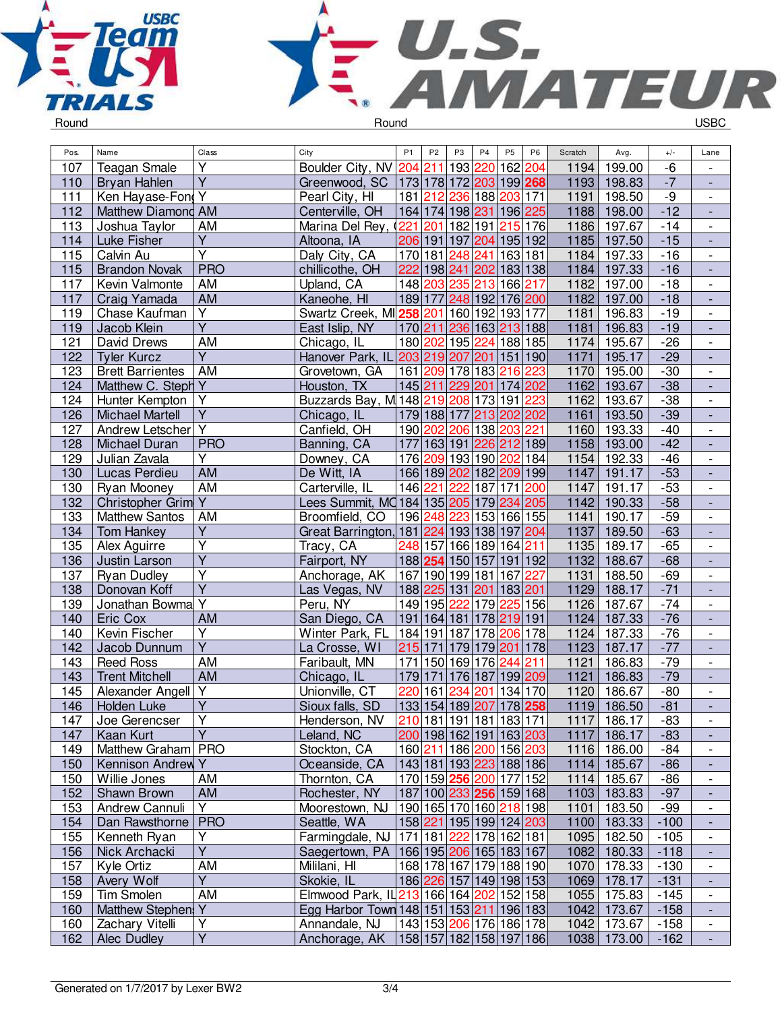



| Pos. | Name                    | Class                   | City                                                | P <sub>1</sub>          | P <sub>2</sub> | P <sub>3</sub>                                       | P <sub>4</sub>   | P <sub>5</sub>       | P <sub>6</sub> | Scratch | Avg.        | $+/-$          | Lane                         |
|------|-------------------------|-------------------------|-----------------------------------------------------|-------------------------|----------------|------------------------------------------------------|------------------|----------------------|----------------|---------|-------------|----------------|------------------------------|
| 107  | <b>Teagan Smale</b>     | Υ                       | Boulder City, NV 204 211                            |                         |                |                                                      | 193 220          | 162 204              |                | 1194    | 199.00      | $-6$           |                              |
| 110  | Bryan Hahlen            | $\overline{\mathsf{Y}}$ | Greenwood, SC   173   178   172   203   199   268   |                         |                |                                                      |                  |                      |                | 1193    | 198.83      | $-7$           |                              |
| 111  | Ken Hayase-Fond Y       |                         | Pearl City, HI                                      |                         |                | 181 212 236 188 203 171                              |                  |                      |                | 1191    | 198.50      | $-9$           | $\overline{\phantom{a}}$     |
| 112  | Matthew Diamond AM      |                         | Centerville, OH                                     |                         |                | 164 174 198  <mark>231</mark>  196  <mark>225</mark> |                  |                      |                | 1188    | 198.00      | $-12$          | $\overline{\phantom{a}}$     |
| 113  | Joshua Taylor           | AM                      | Marina Del Rey, (221                                |                         |                | 201 182 191                                          |                  | $\overline{215}$ 176 |                | 1186    | 197.67      | $-14$          | $\overline{\phantom{a}}$     |
| 114  | Luke Fisher             | $\overline{Y}$          | Altoona, IA                                         |                         |                | 206 191 197 204                                      |                  | 195 192              |                | 1185    | 197.50      | $-15$          | $\overline{\phantom{a}}$     |
| 115  | Calvin Au               | Υ                       | Daly City, CA                                       |                         |                | 170 181 248 241                                      |                  | 163 181              |                | 1184    | 197.33      | $-16$          |                              |
| 115  | <b>Brandon Novak</b>    | <b>PRO</b>              | chillicothe, OH                                     |                         |                | 222 198 241 202 183 138                              |                  |                      |                | 1184    | 197.33      | $-16$          | $\overline{\phantom{a}}$     |
| 117  | Kevin Valmonte          | AM                      | Upland, CA                                          |                         |                | 148 203 235 213                                      |                  | 166 217              |                | 1182    | 197.00      | $-18$          | $\overline{\phantom{a}}$     |
| 117  | Craig Yamada            | AM                      | Kaneohe, HI                                         |                         |                | 189 177 248 192 176 200                              |                  |                      |                | 1182    | 197.00      | $-18$          |                              |
| 119  | Chase Kaufman           | $\overline{\mathsf{Y}}$ | Swartz Creek, MI258 201 160 192 193 177             |                         |                |                                                      |                  |                      |                | 1181    | 196.83      | $-19$          | $\overline{\phantom{a}}$     |
| 119  | Jacob Klein             | $\overline{\mathsf{Y}}$ | East Islip, NY                                      |                         |                | 170 211 236 163 213 188                              |                  |                      |                | 1181    | 196.83      | $-19$          | $\overline{a}$               |
| 121  | David Drews             | <b>AM</b>               | Chicago, IL                                         |                         |                | 180 202 195 224 188 185                              |                  |                      |                | 1174    | 195.67      | $-26$          | $\overline{\phantom{a}}$     |
| 122  | <b>Tyler Kurcz</b>      | $\overline{Y}$          | Hanover Park, IL 203 219 207 201                    |                         |                |                                                      |                  | 151 190              |                | 1171    | 195.17      | $-29$          | $\Box$                       |
| 123  | <b>Brett Barrientes</b> | AM                      | Grovetown, GA                                       |                         |                | 161 209 178 183                                      |                  | 216                  | 223            | 1170    | 195.00      | $-30$          | $\overline{\phantom{a}}$     |
| 124  | Matthew C. Steph Y      |                         | Houston, TX                                         |                         |                | 145 211 229 201 174 202                              |                  |                      |                | 1162    | 193.67      | $-38$          | $\overline{\phantom{a}}$     |
| 124  | Hunter Kempton          | Υ                       | Buzzards Bay, M 148 219 208 173 191 223             |                         |                |                                                      |                  |                      |                | 1162    | 193.67      | $-38$          | $\qquad \qquad \blacksquare$ |
| 126  | <b>Michael Martell</b>  | $\overline{\mathsf{Y}}$ | Chicago, IL                                         |                         |                | 179 188 177 213 202 202                              |                  |                      |                | 1161    | 193.50      | $-39$          | $\overline{\phantom{a}}$     |
| 127  | Andrew Letscher Y       |                         | Canfield, OH                                        |                         |                | 190 202 206 138                                      |                  | 203 221              |                | 1160    | 193.33      | $-40$          | $\blacksquare$               |
| 128  | Michael Duran           | <b>PRO</b>              | Banning, CA                                         |                         |                | 177 163 191 226 212 189                              |                  |                      |                | 1158    | 193.00      | $-42$          | $\blacksquare$               |
| 129  | Julian Zavala           | Y                       | Downey, CA                                          |                         |                | 176 209 193 190 202 184                              |                  |                      |                | 1154    | 192.33      | $-46$          | $\overline{\phantom{a}}$     |
| 130  | Lucas Perdieu           | <b>AM</b>               | De Witt, IA                                         |                         |                | 166 189 202 182 209 199                              |                  |                      |                | 1147    | 191.17      | $-53$          | $\overline{a}$               |
| 130  | Ryan Mooney             | <b>AM</b>               | Carterville, IL                                     |                         | 146 221 222    |                                                      | 187 171 200      |                      |                | 1147    | 191.17      | $-53$          | $\blacksquare$               |
|      |                         |                         | Lees Summit, MQ184 135 205 179 234 205              |                         |                |                                                      |                  |                      |                | 1142    | 190.33      |                | ÷,                           |
| 132  | Christopher Grim Y      | AM                      | Broomfield, CO                                      |                         |                | 196 248 223 153 166 155                              |                  |                      |                |         |             | $-58$          |                              |
| 133  | <b>Matthew Santos</b>   |                         |                                                     |                         |                |                                                      |                  |                      |                | 1141    | 190.17      | $-59$          | $\overline{\phantom{a}}$     |
| 134  | <b>Tom Hankey</b>       | Y                       | Great Barrington,                                   |                         |                | 181 224 193 138 197 204                              |                  |                      |                | 1137    | 189.50      | $-63$          | $\blacksquare$               |
| 135  | Alex Aguirre            | Υ<br>$\overline{Y}$     | Tracy, CA                                           |                         |                | 248 157 166 189 164 211                              |                  |                      |                | 1135    | 189.17      | $-65$<br>$-68$ | $\overline{\phantom{a}}$     |
| 136  | Justin Larson           | $\overline{Y}$          | Fairport, NY                                        |                         |                | 188 254 150 157 191 192                              |                  |                      |                | 1132    | 188.67      |                |                              |
| 137  | <b>Ryan Dudley</b>      | $\overline{Y}$          | Anchorage, AK                                       |                         |                | 167 190 199 181 167                                  |                  |                      | 227            | 1131    | 188.50      | $-69$          | $\blacksquare$               |
| 138  | Donovan Koff            |                         | Las Vegas, NV                                       |                         |                | 188 225 131 201 183 201                              |                  |                      |                | 1129    | 188.17      | $-71$          | $\overline{\phantom{a}}$     |
| 139  | Jonathan Bowma          | $\overline{Y}$          | Peru, NY                                            |                         |                | 149 195 222                                          | $\overline{179}$ | 225 156              |                | 1126    | 187.67      | $-74$          | $\overline{\phantom{a}}$     |
| 140  | Eric Cox                | AM                      | San Diego, CA                                       |                         |                | 191 164 181 178 219 191                              |                  |                      |                | 1124    | 187.33      | $-76$          | $\overline{a}$               |
| 140  | Kevin Fischer           | $\overline{\mathsf{Y}}$ | Winter Park, FL                                     |                         |                | 184 191 187 178 206 178                              |                  |                      |                | 1124    | 187.33      | $-76$          | $\overline{\phantom{a}}$     |
| 142  | Jacob Dunnum            | $\overline{Y}$          | La Crosse, WI                                       | 215 171                 |                |                                                      | 179 179 201      |                      | 178            | 1123    | 187.17      | $-77$          | $\frac{1}{2}$                |
| 143  | <b>Reed Ross</b>        | AM                      | Faribault, MN                                       | 171                     |                | 150 169 176                                          |                  | 244                  | 211            | 1121    | 186.83      | $-79$          | $\overline{\phantom{a}}$     |
| 143  | <b>Trent Mitchell</b>   | AM                      | Chicago, IL                                         | 179 171                 |                |                                                      | 176 187          | 199 209              |                | 1121    | 186.83      | $-79$          | $\overline{\phantom{a}}$     |
| 145  | Alexander Angell        | Y                       | Unionville, CT                                      | 220                     | 161            | 234                                                  | 201              | 134 170              |                | 1120    | 186.67      | $-80$          | $\qquad \qquad \blacksquare$ |
| 146  | <b>Holden Luke</b>      | Υ                       | Sioux falls, SD                                     |                         |                | 133 154 189 207                                      |                  | 178 258              |                | 1119    | 186.50      | $-81$          | $\overline{\phantom{a}}$     |
| 147  | Joe Gerencser           | Y                       | Henderson, NV                                       |                         |                | 210 181 191 181 183 171                              |                  |                      |                |         | 1117 186.17 | $-83$          | $\qquad \qquad -$            |
| 147  | Kaan Kurt               | $\overline{Y}$          | Leland, NC                                          |                         |                | 200 198 162 191 163 203                              |                  |                      |                | 1117    | 186.17      | $-83$          | $\overline{\phantom{a}}$     |
| 149  | Matthew Graham   PRO    |                         | Stockton, CA                                        |                         |                | 160 211 186 200 156 203                              |                  |                      |                | 1116    | 186.00      | $-84$          | $\overline{\phantom{a}}$     |
| 150  | Kennison Andrew Y       |                         | Oceanside, CA                                       |                         |                | 143 181 193 223 188 186                              |                  |                      |                | 1114    | 185.67      | $-86$          |                              |
| 150  | Willie Jones            | AM                      | Thornton, CA                                        |                         |                | 170 159 256 200 177 152                              |                  |                      |                | 1114    | 185.67      | $-86$          | $\overline{\phantom{a}}$     |
| 152  | Shawn Brown             | AM                      | Rochester, NY                                       |                         |                | 187 100 233 256 159 168                              |                  |                      |                |         | 1103 183.83 | $-97$          |                              |
| 153  | Andrew Cannuli          | Y                       | Moorestown, NJ                                      |                         |                | 190 165 170 160 218 198                              |                  |                      |                | 1101    | 183.50      | $-99$          | $\overline{\phantom{a}}$     |
| 154  | Dan Rawsthorne          | <b>PRO</b>              | Seattle, WA                                         |                         |                | 158 221 195 199 124 203                              |                  |                      |                | 1100    | 183.33      | $-100$         | $\overline{\phantom{a}}$     |
| 155  | Kenneth Ryan            | Υ                       | Farmingdale, NJ   171   181   222   178   162   181 |                         |                |                                                      |                  |                      |                | 1095    | 182.50      | $-105$         | $\overline{\phantom{a}}$     |
| 156  | Nick Archacki           | $\overline{Y}$          | Saegertown, PA                                      |                         |                | 166 195 206 165 183 167                              |                  |                      |                | 1082    | 180.33      | $-118$         | ۰                            |
| 157  | Kyle Ortiz              | AM                      | Mililani, HI                                        |                         |                | 168 178 167 179 188 190                              |                  |                      |                | 1070    | 178.33      | $-130$         | $\overline{\phantom{a}}$     |
| 158  | Avery Wolf              | $\overline{Y}$          | Skokie, IL                                          |                         |                | 186 226 157 149 198 153                              |                  |                      |                | 1069    | 178.17      | $-131$         | $\overline{\phantom{a}}$     |
| 159  | <b>Tim Smolen</b>       | AM                      | Elmwood Park, IL 213 166 164 202 152 158            |                         |                |                                                      |                  |                      |                | 1055    | 175.83      | $-145$         | $\overline{\phantom{a}}$     |
| 160  | Matthew Stephen         | Y                       | Egg Harbor Town 148 151 153 211 196 183             |                         |                |                                                      |                  |                      |                | 1042    | 173.67      | $-158$         | $\overline{\phantom{a}}$     |
| 160  | Zachary Vitelli         | $\overline{Y}$          | Annandale, NJ                                       |                         |                | 143 153 206 176 186 178                              |                  |                      |                | 1042    | 173.67      | $-158$         | $\overline{\phantom{a}}$     |
| 162  | Alec Dudley             | $\overline{Y}$          | Anchorage, AK                                       | 158 157 182 158 197 186 |                |                                                      |                  |                      |                |         | 1038 173.00 | $-162$         | $\Box$                       |